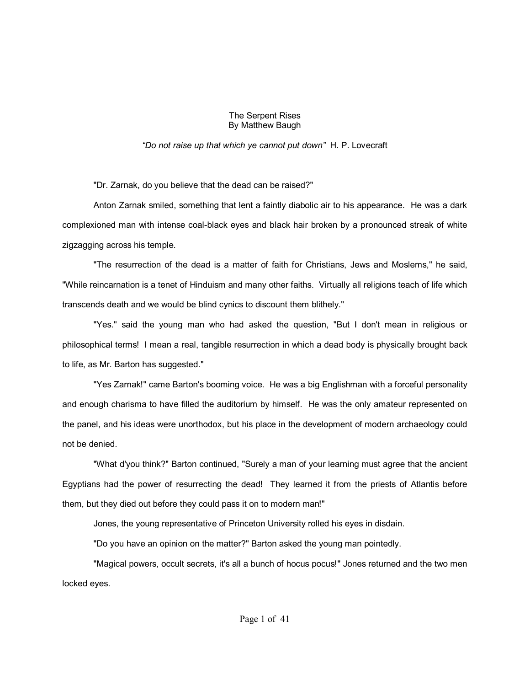## The Serpent Rises By Matthew Baugh

## *ìDo not raise up that which ye cannot put downî* H. P. Lovecraft

"Dr. Zarnak, do you believe that the dead can be raised?"

Anton Zarnak smiled, something that lent a faintly diabolic air to his appearance. He was a dark complexioned man with intense coal-black eyes and black hair broken by a pronounced streak of white zigzagging across his temple.

"The resurrection of the dead is a matter of faith for Christians, Jews and Moslems," he said, "While reincarnation is a tenet of Hinduism and many other faiths. Virtually all religions teach of life which transcends death and we would be blind cynics to discount them blithely."

"Yes." said the young man who had asked the question, "But I don't mean in religious or philosophical terms! I mean a real, tangible resurrection in which a dead body is physically brought back to life, as Mr. Barton has suggested."

"Yes Zarnak!" came Barton's booming voice. He was a big Englishman with a forceful personality and enough charisma to have filled the auditorium by himself. He was the only amateur represented on the panel, and his ideas were unorthodox, but his place in the development of modern archaeology could not be denied.

"What d'you think?" Barton continued, "Surely a man of your learning must agree that the ancient Egyptians had the power of resurrecting the dead! They learned it from the priests of Atlantis before them, but they died out before they could pass it on to modern man!"

Jones, the young representative of Princeton University rolled his eyes in disdain.

"Do you have an opinion on the matter?" Barton asked the young man pointedly.

"Magical powers, occult secrets, it's all a bunch of hocus pocus!" Jones returned and the two men locked eyes.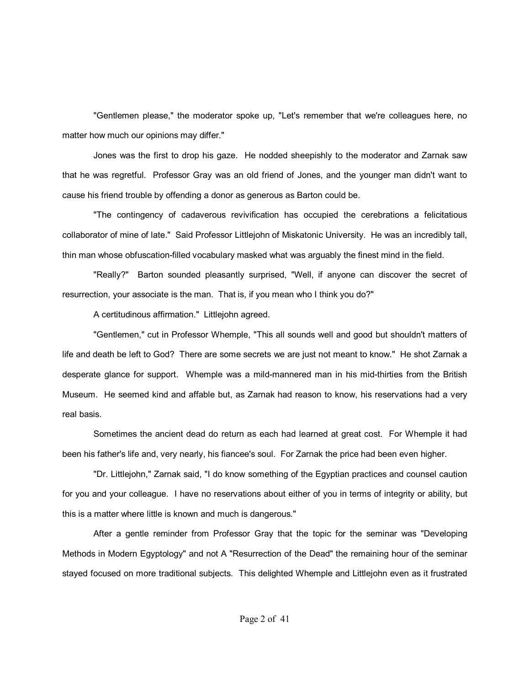"Gentlemen please," the moderator spoke up, "Let's remember that we're colleagues here, no matter how much our opinions may differ."

Jones was the first to drop his gaze. He nodded sheepishly to the moderator and Zarnak saw that he was regretful. Professor Gray was an old friend of Jones, and the younger man didn't want to cause his friend trouble by offending a donor as generous as Barton could be.

"The contingency of cadaverous revivification has occupied the cerebrations a felicitatious collaborator of mine of late." Said Professor Littlejohn of Miskatonic University. He was an incredibly tall, thin man whose obfuscation-filled vocabulary masked what was arguably the finest mind in the field.

"Really?" Barton sounded pleasantly surprised, "Well, if anyone can discover the secret of resurrection, your associate is the man. That is, if you mean who I think you do?"

A certitudinous affirmation." Littlejohn agreed.

"Gentlemen," cut in Professor Whemple, "This all sounds well and good but shouldn't matters of life and death be left to God? There are some secrets we are just not meant to know." He shot Zarnak a desperate glance for support. Whemple was a mild-mannered man in his mid-thirties from the British Museum. He seemed kind and affable but, as Zarnak had reason to know, his reservations had a very real basis.

Sometimes the ancient dead do return as each had learned at great cost. For Whemple it had been his father's life and, very nearly, his fiancee's soul. For Zarnak the price had been even higher.

"Dr. Littlejohn," Zarnak said, "I do know something of the Egyptian practices and counsel caution for you and your colleague. I have no reservations about either of you in terms of integrity or ability, but this is a matter where little is known and much is dangerous."

After a gentle reminder from Professor Gray that the topic for the seminar was "Developing Methods in Modern Egyptology" and not A "Resurrection of the Dead" the remaining hour of the seminar stayed focused on more traditional subjects. This delighted Whemple and Littlejohn even as it frustrated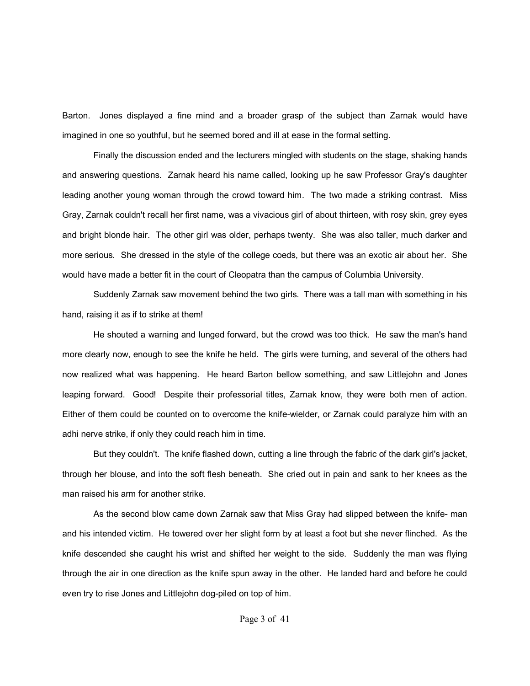Barton. Jones displayed a fine mind and a broader grasp of the subject than Zarnak would have imagined in one so youthful, but he seemed bored and ill at ease in the formal setting.

Finally the discussion ended and the lecturers mingled with students on the stage, shaking hands and answering questions. Zarnak heard his name called, looking up he saw Professor Gray's daughter leading another young woman through the crowd toward him. The two made a striking contrast. Miss Gray, Zarnak couldn't recall her first name, was a vivacious girl of about thirteen, with rosy skin, grey eyes and bright blonde hair. The other girl was older, perhaps twenty. She was also taller, much darker and more serious. She dressed in the style of the college coeds, but there was an exotic air about her. She would have made a better fit in the court of Cleopatra than the campus of Columbia University.

Suddenly Zarnak saw movement behind the two girls. There was a tall man with something in his hand, raising it as if to strike at them!

He shouted a warning and lunged forward, but the crowd was too thick. He saw the man's hand more clearly now, enough to see the knife he held. The girls were turning, and several of the others had now realized what was happening. He heard Barton bellow something, and saw Littlejohn and Jones leaping forward. Good! Despite their professorial titles, Zarnak know, they were both men of action. Either of them could be counted on to overcome the knife-wielder, or Zarnak could paralyze him with an adhi nerve strike, if only they could reach him in time.

But they couldn't. The knife flashed down, cutting a line through the fabric of the dark girl's jacket, through her blouse, and into the soft flesh beneath. She cried out in pain and sank to her knees as the man raised his arm for another strike.

As the second blow came down Zarnak saw that Miss Gray had slipped between the knife- man and his intended victim. He towered over her slight form by at least a foot but she never flinched. As the knife descended she caught his wrist and shifted her weight to the side. Suddenly the man was flying through the air in one direction as the knife spun away in the other. He landed hard and before he could even try to rise Jones and Littlejohn dog-piled on top of him.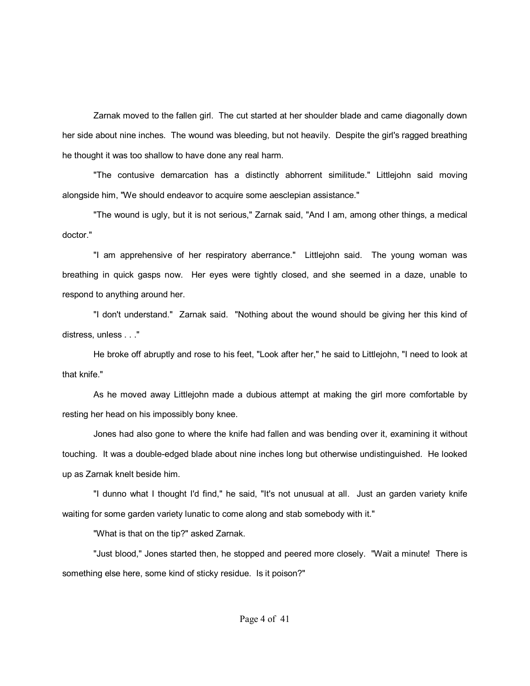Zarnak moved to the fallen girl. The cut started at her shoulder blade and came diagonally down her side about nine inches. The wound was bleeding, but not heavily. Despite the girl's ragged breathing he thought it was too shallow to have done any real harm.

"The contusive demarcation has a distinctly abhorrent similitude." Littlejohn said moving alongside him, "We should endeavor to acquire some aesclepian assistance."

"The wound is ugly, but it is not serious," Zarnak said, "And I am, among other things, a medical doctor."

"I am apprehensive of her respiratory aberrance." Littlejohn said. The young woman was breathing in quick gasps now. Her eyes were tightly closed, and she seemed in a daze, unable to respond to anything around her.

"I don't understand." Zarnak said. "Nothing about the wound should be giving her this kind of distress, unless . . ."

He broke off abruptly and rose to his feet, "Look after her," he said to Littlejohn, "I need to look at that knife."

As he moved away Littlejohn made a dubious attempt at making the girl more comfortable by resting her head on his impossibly bony knee.

Jones had also gone to where the knife had fallen and was bending over it, examining it without touching. It was a double-edged blade about nine inches long but otherwise undistinguished. He looked up as Zarnak knelt beside him.

"I dunno what I thought I'd find," he said, "It's not unusual at all. Just an garden variety knife waiting for some garden variety lunatic to come along and stab somebody with it."

"What is that on the tip?" asked Zarnak.

"Just blood," Jones started then, he stopped and peered more closely. "Wait a minute! There is something else here, some kind of sticky residue. Is it poison?"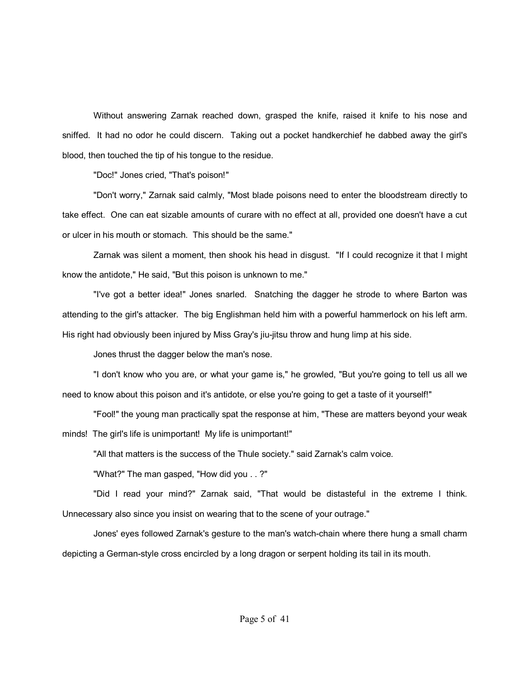Without answering Zarnak reached down, grasped the knife, raised it knife to his nose and sniffed. It had no odor he could discern. Taking out a pocket handkerchief he dabbed away the girl's blood, then touched the tip of his tongue to the residue.

"Doc!" Jones cried, "That's poison!"

"Don't worry," Zarnak said calmly, "Most blade poisons need to enter the bloodstream directly to take effect. One can eat sizable amounts of curare with no effect at all, provided one doesn't have a cut or ulcer in his mouth or stomach. This should be the same."

Zarnak was silent a moment, then shook his head in disgust. "If I could recognize it that I might know the antidote," He said, "But this poison is unknown to me."

"I've got a better idea!" Jones snarled. Snatching the dagger he strode to where Barton was attending to the girl's attacker. The big Englishman held him with a powerful hammerlock on his left arm. His right had obviously been injured by Miss Gray's jiu-jitsu throw and hung limp at his side.

Jones thrust the dagger below the man's nose.

"I don't know who you are, or what your game is," he growled, "But you're going to tell us all we need to know about this poison and it's antidote, or else you're going to get a taste of it yourself!"

"Fool!" the young man practically spat the response at him, "These are matters beyond your weak minds! The girl's life is unimportant! My life is unimportant!"

"All that matters is the success of the Thule society." said Zarnak's calm voice.

"What?" The man gasped, "How did you . . ?"

"Did I read your mind?" Zarnak said, "That would be distasteful in the extreme I think. Unnecessary also since you insist on wearing that to the scene of your outrage."

Jones' eyes followed Zarnak's gesture to the man's watch-chain where there hung a small charm depicting a German-style cross encircled by a long dragon or serpent holding its tail in its mouth.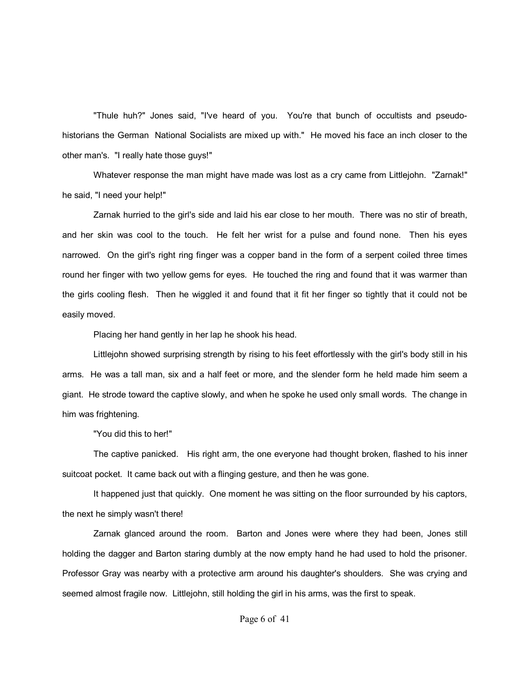"Thule huh?" Jones said, "I've heard of you. You're that bunch of occultists and pseudohistorians the German National Socialists are mixed up with." He moved his face an inch closer to the other man's. "I really hate those guys!"

Whatever response the man might have made was lost as a cry came from Littlejohn. "Zarnak!" he said, "I need your help!"

Zarnak hurried to the girl's side and laid his ear close to her mouth. There was no stir of breath, and her skin was cool to the touch. He felt her wrist for a pulse and found none. Then his eyes narrowed. On the girl's right ring finger was a copper band in the form of a serpent coiled three times round her finger with two yellow gems for eyes. He touched the ring and found that it was warmer than the girls cooling flesh. Then he wiggled it and found that it fit her finger so tightly that it could not be easily moved.

Placing her hand gently in her lap he shook his head.

Littlejohn showed surprising strength by rising to his feet effortlessly with the girl's body still in his arms. He was a tall man, six and a half feet or more, and the slender form he held made him seem a giant. He strode toward the captive slowly, and when he spoke he used only small words. The change in him was frightening.

"You did this to her!"

The captive panicked. His right arm, the one everyone had thought broken, flashed to his inner suitcoat pocket. It came back out with a flinging gesture, and then he was gone.

It happened just that quickly. One moment he was sitting on the floor surrounded by his captors, the next he simply wasn't there!

Zarnak glanced around the room. Barton and Jones were where they had been, Jones still holding the dagger and Barton staring dumbly at the now empty hand he had used to hold the prisoner. Professor Gray was nearby with a protective arm around his daughter's shoulders. She was crying and seemed almost fragile now. Littlejohn, still holding the girl in his arms, was the first to speak.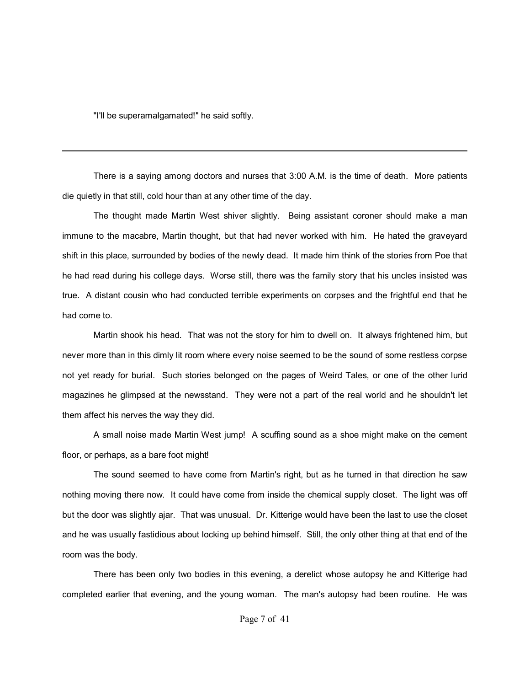"I'll be superamalgamated!" he said softly.

There is a saying among doctors and nurses that 3:00 A.M. is the time of death. More patients die quietly in that still, cold hour than at any other time of the day.

The thought made Martin West shiver slightly. Being assistant coroner should make a man immune to the macabre, Martin thought, but that had never worked with him. He hated the graveyard shift in this place, surrounded by bodies of the newly dead. It made him think of the stories from Poe that he had read during his college days. Worse still, there was the family story that his uncles insisted was true. A distant cousin who had conducted terrible experiments on corpses and the frightful end that he had come to.

Martin shook his head. That was not the story for him to dwell on. It always frightened him, but never more than in this dimly lit room where every noise seemed to be the sound of some restless corpse not yet ready for burial. Such stories belonged on the pages of Weird Tales, or one of the other lurid magazines he glimpsed at the newsstand. They were not a part of the real world and he shouldn't let them affect his nerves the way they did.

A small noise made Martin West jump! A scuffing sound as a shoe might make on the cement floor, or perhaps, as a bare foot might!

The sound seemed to have come from Martin's right, but as he turned in that direction he saw nothing moving there now. It could have come from inside the chemical supply closet. The light was off but the door was slightly ajar. That was unusual. Dr. Kitterige would have been the last to use the closet and he was usually fastidious about locking up behind himself. Still, the only other thing at that end of the room was the body.

There has been only two bodies in this evening, a derelict whose autopsy he and Kitterige had completed earlier that evening, and the young woman. The man's autopsy had been routine. He was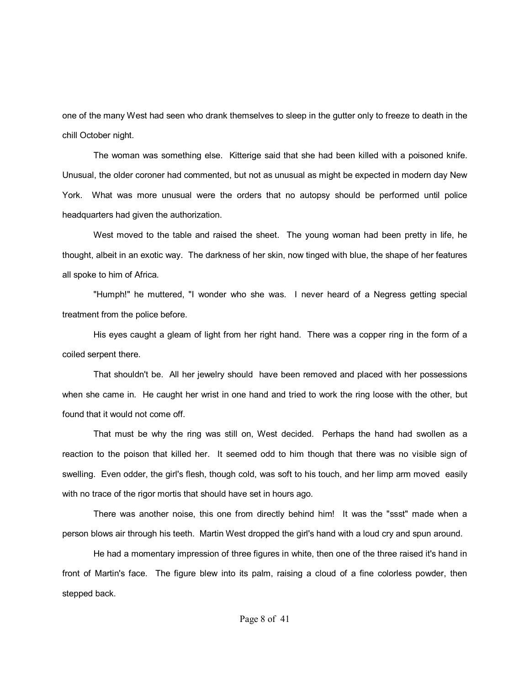one of the many West had seen who drank themselves to sleep in the gutter only to freeze to death in the chill October night.

The woman was something else. Kitterige said that she had been killed with a poisoned knife. Unusual, the older coroner had commented, but not as unusual as might be expected in modern day New York. What was more unusual were the orders that no autopsy should be performed until police headquarters had given the authorization.

West moved to the table and raised the sheet. The young woman had been pretty in life, he thought, albeit in an exotic way. The darkness of her skin, now tinged with blue, the shape of her features all spoke to him of Africa.

"Humph!" he muttered, "I wonder who she was. I never heard of a Negress getting special treatment from the police before.

His eyes caught a gleam of light from her right hand. There was a copper ring in the form of a coiled serpent there.

That shouldn't be. All her jewelry should have been removed and placed with her possessions when she came in. He caught her wrist in one hand and tried to work the ring loose with the other, but found that it would not come off.

That must be why the ring was still on, West decided. Perhaps the hand had swollen as a reaction to the poison that killed her. It seemed odd to him though that there was no visible sign of swelling. Even odder, the girl's flesh, though cold, was soft to his touch, and her limp arm moved easily with no trace of the rigor mortis that should have set in hours ago.

There was another noise, this one from directly behind him! It was the "ssst" made when a person blows air through his teeth. Martin West dropped the girl's hand with a loud cry and spun around.

He had a momentary impression of three figures in white, then one of the three raised it's hand in front of Martin's face. The figure blew into its palm, raising a cloud of a fine colorless powder, then stepped back.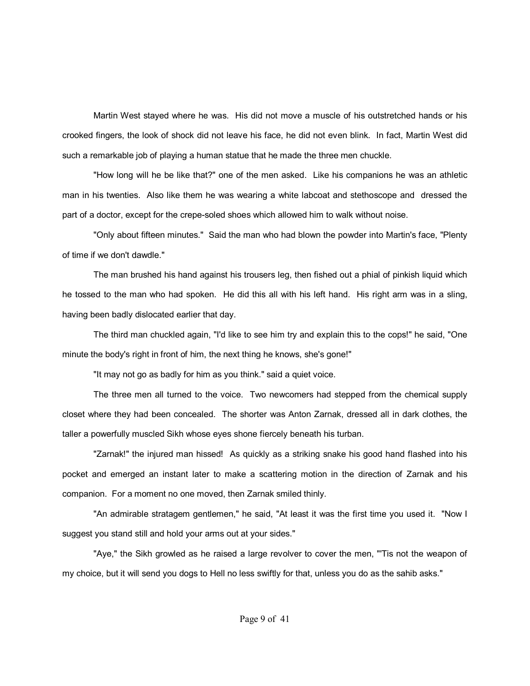Martin West stayed where he was. His did not move a muscle of his outstretched hands or his crooked fingers, the look of shock did not leave his face, he did not even blink. In fact, Martin West did such a remarkable job of playing a human statue that he made the three men chuckle.

"How long will he be like that?" one of the men asked. Like his companions he was an athletic man in his twenties. Also like them he was wearing a white labcoat and stethoscope and dressed the part of a doctor, except for the crepe-soled shoes which allowed him to walk without noise.

"Only about fifteen minutes." Said the man who had blown the powder into Martin's face, "Plenty of time if we don't dawdle."

The man brushed his hand against his trousers leg, then fished out a phial of pinkish liquid which he tossed to the man who had spoken. He did this all with his left hand. His right arm was in a sling, having been badly dislocated earlier that day.

The third man chuckled again, "I'd like to see him try and explain this to the cops!" he said, "One minute the body's right in front of him, the next thing he knows, she's gone!"

"It may not go as badly for him as you think." said a quiet voice.

The three men all turned to the voice. Two newcomers had stepped from the chemical supply closet where they had been concealed. The shorter was Anton Zarnak, dressed all in dark clothes, the taller a powerfully muscled Sikh whose eyes shone fiercely beneath his turban.

"Zarnak!" the injured man hissed! As quickly as a striking snake his good hand flashed into his pocket and emerged an instant later to make a scattering motion in the direction of Zarnak and his companion. For a moment no one moved, then Zarnak smiled thinly.

"An admirable stratagem gentlemen," he said, "At least it was the first time you used it. "Now I suggest you stand still and hold your arms out at your sides."

"Aye," the Sikh growled as he raised a large revolver to cover the men, "'Tis not the weapon of my choice, but it will send you dogs to Hell no less swiftly for that, unless you do as the sahib asks."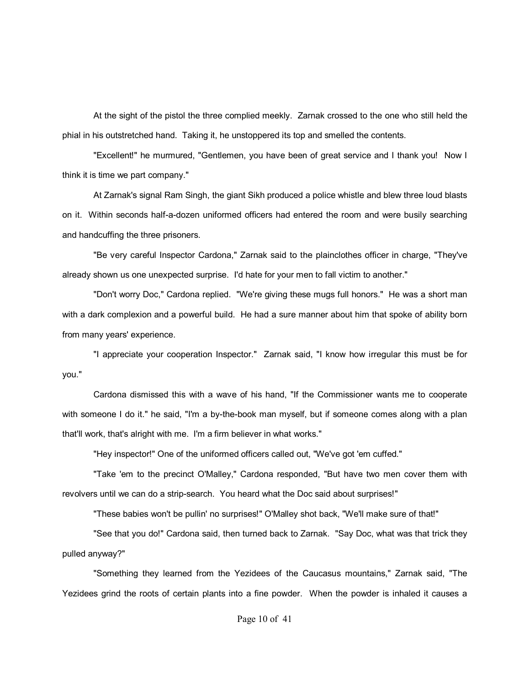At the sight of the pistol the three complied meekly. Zarnak crossed to the one who still held the phial in his outstretched hand. Taking it, he unstoppered its top and smelled the contents.

"Excellent!" he murmured, "Gentlemen, you have been of great service and I thank you! Now I think it is time we part company."

At Zarnak's signal Ram Singh, the giant Sikh produced a police whistle and blew three loud blasts on it. Within seconds half-a-dozen uniformed officers had entered the room and were busily searching and handcuffing the three prisoners.

"Be very careful Inspector Cardona," Zarnak said to the plainclothes officer in charge, "They've already shown us one unexpected surprise. I'd hate for your men to fall victim to another."

"Don't worry Doc," Cardona replied. "We're giving these mugs full honors." He was a short man with a dark complexion and a powerful build. He had a sure manner about him that spoke of ability born from many years' experience.

"I appreciate your cooperation Inspector." Zarnak said, "I know how irregular this must be for you."

Cardona dismissed this with a wave of his hand, "If the Commissioner wants me to cooperate with someone I do it." he said, "I'm a by-the-book man myself, but if someone comes along with a plan that'll work, that's alright with me. I'm a firm believer in what works."

"Hey inspector!" One of the uniformed officers called out, "We've got 'em cuffed."

"Take 'em to the precinct O'Malley," Cardona responded, "But have two men cover them with revolvers until we can do a strip-search. You heard what the Doc said about surprises!"

"These babies won't be pullin' no surprises!" O'Malley shot back, "We'll make sure of that!"

"See that you do!" Cardona said, then turned back to Zarnak. "Say Doc, what was that trick they pulled anyway?"

"Something they learned from the Yezidees of the Caucasus mountains," Zarnak said, "The Yezidees grind the roots of certain plants into a fine powder. When the powder is inhaled it causes a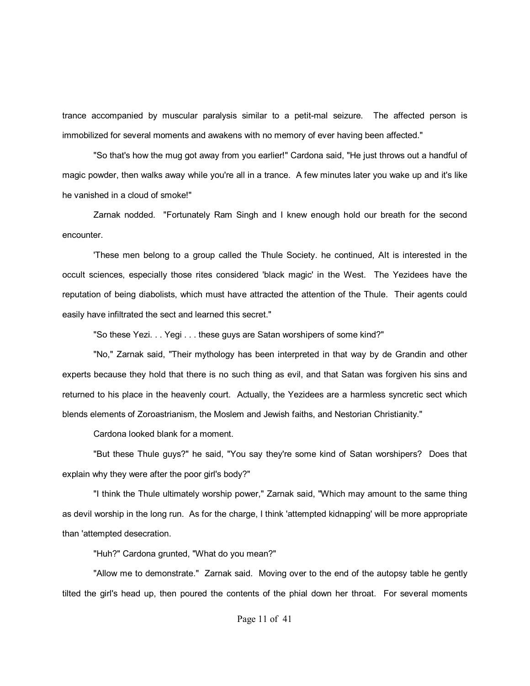trance accompanied by muscular paralysis similar to a petit-mal seizure. The affected person is immobilized for several moments and awakens with no memory of ever having been affected."

"So that's how the mug got away from you earlier!" Cardona said, "He just throws out a handful of magic powder, then walks away while you're all in a trance. A few minutes later you wake up and it's like he vanished in a cloud of smoke!"

Zarnak nodded. "Fortunately Ram Singh and I knew enough hold our breath for the second encounter.

'These men belong to a group called the Thule Society. he continued, AIt is interested in the occult sciences, especially those rites considered 'black magic' in the West. The Yezidees have the reputation of being diabolists, which must have attracted the attention of the Thule. Their agents could easily have infiltrated the sect and learned this secret."

"So these Yezi. . . Yegi . . . these guys are Satan worshipers of some kind?"

"No," Zarnak said, "Their mythology has been interpreted in that way by de Grandin and other experts because they hold that there is no such thing as evil, and that Satan was forgiven his sins and returned to his place in the heavenly court. Actually, the Yezidees are a harmless syncretic sect which blends elements of Zoroastrianism, the Moslem and Jewish faiths, and Nestorian Christianity."

Cardona looked blank for a moment.

"But these Thule guys?" he said, "You say they're some kind of Satan worshipers? Does that explain why they were after the poor girl's body?"

"I think the Thule ultimately worship power," Zarnak said, "Which may amount to the same thing as devil worship in the long run. As for the charge, I think 'attempted kidnapping' will be more appropriate than 'attempted desecration.

"Huh?" Cardona grunted, "What do you mean?"

"Allow me to demonstrate." Zarnak said. Moving over to the end of the autopsy table he gently tilted the girl's head up, then poured the contents of the phial down her throat. For several moments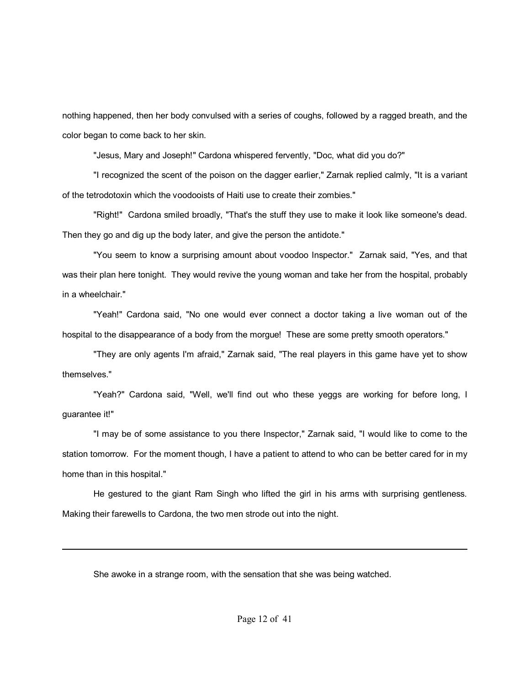nothing happened, then her body convulsed with a series of coughs, followed by a ragged breath, and the color began to come back to her skin.

"Jesus, Mary and Joseph!" Cardona whispered fervently, "Doc, what did you do?"

"I recognized the scent of the poison on the dagger earlier," Zarnak replied calmly, "It is a variant of the tetrodotoxin which the voodooists of Haiti use to create their zombies."

"Right!" Cardona smiled broadly, "That's the stuff they use to make it look like someone's dead. Then they go and dig up the body later, and give the person the antidote."

"You seem to know a surprising amount about voodoo Inspector." Zarnak said, "Yes, and that was their plan here tonight. They would revive the young woman and take her from the hospital, probably in a wheelchair."

"Yeah!" Cardona said, "No one would ever connect a doctor taking a live woman out of the hospital to the disappearance of a body from the morgue! These are some pretty smooth operators."

"They are only agents I'm afraid," Zarnak said, "The real players in this game have yet to show themselves."

"Yeah?" Cardona said, "Well, we'll find out who these yeggs are working for before long, I guarantee it!"

"I may be of some assistance to you there Inspector," Zarnak said, "I would like to come to the station tomorrow. For the moment though, I have a patient to attend to who can be better cared for in my home than in this hospital."

He gestured to the giant Ram Singh who lifted the girl in his arms with surprising gentleness. Making their farewells to Cardona, the two men strode out into the night.

She awoke in a strange room, with the sensation that she was being watched.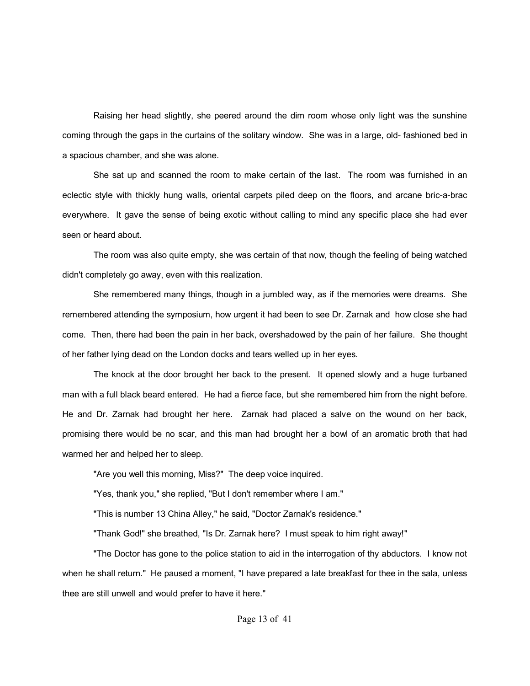Raising her head slightly, she peered around the dim room whose only light was the sunshine coming through the gaps in the curtains of the solitary window. She was in a large, old- fashioned bed in a spacious chamber, and she was alone.

She sat up and scanned the room to make certain of the last. The room was furnished in an eclectic style with thickly hung walls, oriental carpets piled deep on the floors, and arcane bric-a-brac everywhere. It gave the sense of being exotic without calling to mind any specific place she had ever seen or heard about.

The room was also quite empty, she was certain of that now, though the feeling of being watched didn't completely go away, even with this realization.

She remembered many things, though in a jumbled way, as if the memories were dreams. She remembered attending the symposium, how urgent it had been to see Dr. Zarnak and how close she had come. Then, there had been the pain in her back, overshadowed by the pain of her failure. She thought of her father lying dead on the London docks and tears welled up in her eyes.

The knock at the door brought her back to the present. It opened slowly and a huge turbaned man with a full black beard entered. He had a fierce face, but she remembered him from the night before. He and Dr. Zarnak had brought her here. Zarnak had placed a salve on the wound on her back, promising there would be no scar, and this man had brought her a bowl of an aromatic broth that had warmed her and helped her to sleep.

"Are you well this morning, Miss?" The deep voice inquired.

"Yes, thank you," she replied, "But I don't remember where I am."

"This is number 13 China Alley," he said, "Doctor Zarnak's residence."

"Thank God!" she breathed, "Is Dr. Zarnak here? I must speak to him right away!"

"The Doctor has gone to the police station to aid in the interrogation of thy abductors. I know not when he shall return." He paused a moment, "I have prepared a late breakfast for thee in the sala, unless thee are still unwell and would prefer to have it here."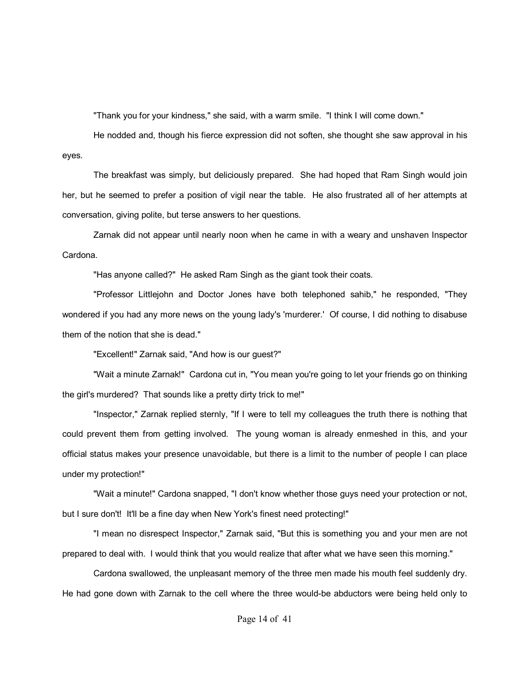"Thank you for your kindness," she said, with a warm smile. "I think I will come down."

He nodded and, though his fierce expression did not soften, she thought she saw approval in his eyes.

The breakfast was simply, but deliciously prepared. She had hoped that Ram Singh would join her, but he seemed to prefer a position of vigil near the table. He also frustrated all of her attempts at conversation, giving polite, but terse answers to her questions.

Zarnak did not appear until nearly noon when he came in with a weary and unshaven Inspector Cardona.

"Has anyone called?" He asked Ram Singh as the giant took their coats.

"Professor Littlejohn and Doctor Jones have both telephoned sahib," he responded, "They wondered if you had any more news on the young lady's 'murderer.' Of course, I did nothing to disabuse them of the notion that she is dead."

"Excellent!" Zarnak said, "And how is our guest?"

"Wait a minute Zarnak!" Cardona cut in, "You mean you're going to let your friends go on thinking the girl's murdered? That sounds like a pretty dirty trick to me!"

"Inspector," Zarnak replied sternly, "If I were to tell my colleagues the truth there is nothing that could prevent them from getting involved. The young woman is already enmeshed in this, and your official status makes your presence unavoidable, but there is a limit to the number of people I can place under my protection!"

"Wait a minute!" Cardona snapped, "I don't know whether those guys need your protection or not, but I sure don't! It'll be a fine day when New York's finest need protecting!"

"I mean no disrespect Inspector," Zarnak said, "But this is something you and your men are not prepared to deal with. I would think that you would realize that after what we have seen this morning."

Cardona swallowed, the unpleasant memory of the three men made his mouth feel suddenly dry. He had gone down with Zarnak to the cell where the three would-be abductors were being held only to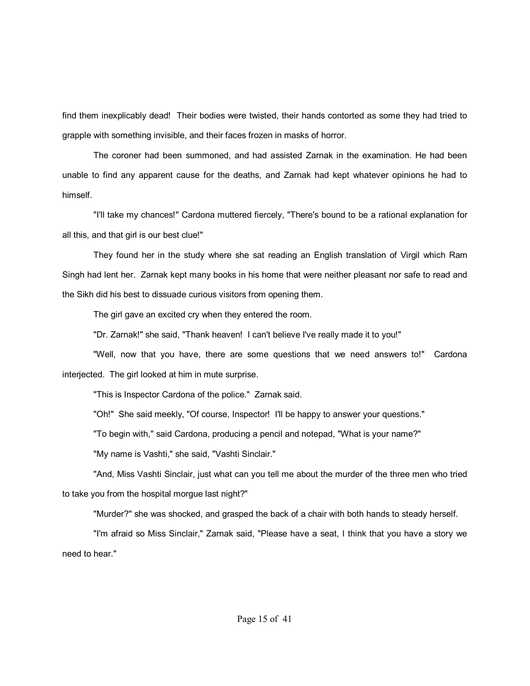find them inexplicably dead! Their bodies were twisted, their hands contorted as some they had tried to grapple with something invisible, and their faces frozen in masks of horror.

The coroner had been summoned, and had assisted Zarnak in the examination. He had been unable to find any apparent cause for the deaths, and Zarnak had kept whatever opinions he had to himself.

"I'll take my chances!" Cardona muttered fiercely, "There's bound to be a rational explanation for all this, and that girl is our best clue!"

They found her in the study where she sat reading an English translation of Virgil which Ram Singh had lent her. Zarnak kept many books in his home that were neither pleasant nor safe to read and the Sikh did his best to dissuade curious visitors from opening them.

The girl gave an excited cry when they entered the room.

"Dr. Zarnak!" she said, "Thank heaven! I can't believe I've really made it to you!"

"Well, now that you have, there are some questions that we need answers to!" Cardona interjected. The girl looked at him in mute surprise.

"This is Inspector Cardona of the police." Zarnak said.

"Oh!" She said meekly, "Of course, Inspector! I'll be happy to answer your questions."

"To begin with," said Cardona, producing a pencil and notepad, "What is your name?"

"My name is Vashti," she said, "Vashti Sinclair."

"And, Miss Vashti Sinclair, just what can you tell me about the murder of the three men who tried to take you from the hospital morgue last night?"

"Murder?" she was shocked, and grasped the back of a chair with both hands to steady herself.

"I'm afraid so Miss Sinclair," Zarnak said, "Please have a seat, I think that you have a story we need to hear."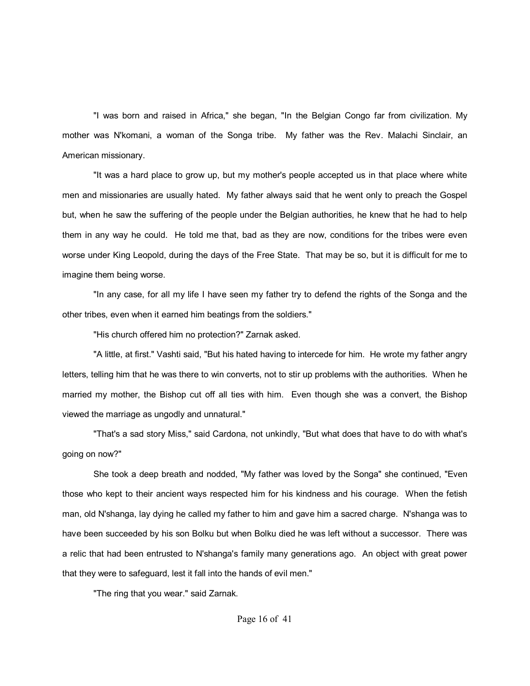"I was born and raised in Africa," she began, "In the Belgian Congo far from civilization. My mother was N'komani, a woman of the Songa tribe. My father was the Rev. Malachi Sinclair, an American missionary.

"It was a hard place to grow up, but my mother's people accepted us in that place where white men and missionaries are usually hated. My father always said that he went only to preach the Gospel but, when he saw the suffering of the people under the Belgian authorities, he knew that he had to help them in any way he could. He told me that, bad as they are now, conditions for the tribes were even worse under King Leopold, during the days of the Free State. That may be so, but it is difficult for me to imagine them being worse.

"In any case, for all my life I have seen my father try to defend the rights of the Songa and the other tribes, even when it earned him beatings from the soldiers."

"His church offered him no protection?" Zarnak asked.

"A little, at first." Vashti said, "But his hated having to intercede for him. He wrote my father angry letters, telling him that he was there to win converts, not to stir up problems with the authorities. When he married my mother, the Bishop cut off all ties with him. Even though she was a convert, the Bishop viewed the marriage as ungodly and unnatural."

"That's a sad story Miss," said Cardona, not unkindly, "But what does that have to do with what's going on now?"

She took a deep breath and nodded, "My father was loved by the Songa" she continued, "Even those who kept to their ancient ways respected him for his kindness and his courage. When the fetish man, old N'shanga, lay dying he called my father to him and gave him a sacred charge. N'shanga was to have been succeeded by his son Bolku but when Bolku died he was left without a successor. There was a relic that had been entrusted to N'shanga's family many generations ago. An object with great power that they were to safeguard, lest it fall into the hands of evil men."

"The ring that you wear." said Zarnak.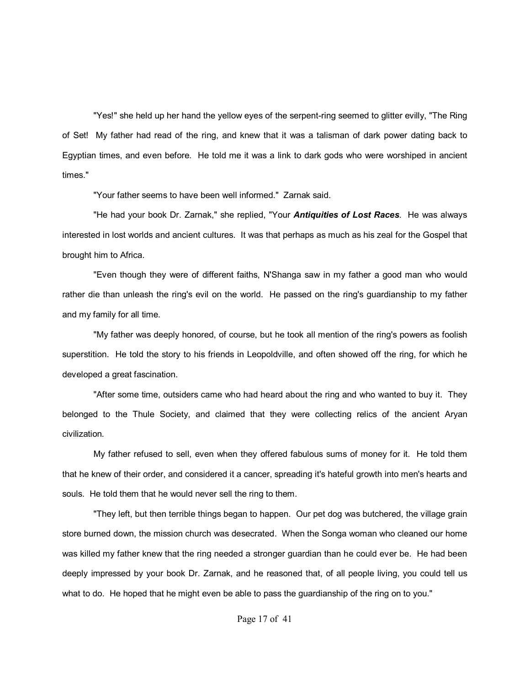"Yes!" she held up her hand the yellow eyes of the serpent-ring seemed to glitter evilly, "The Ring of Set! My father had read of the ring, and knew that it was a talisman of dark power dating back to Egyptian times, and even before. He told me it was a link to dark gods who were worshiped in ancient times."

"Your father seems to have been well informed." Zarnak said.

"He had your book Dr. Zarnak," she replied, "Your *Antiquities of Lost Races*. He was always interested in lost worlds and ancient cultures. It was that perhaps as much as his zeal for the Gospel that brought him to Africa.

"Even though they were of different faiths, N'Shanga saw in my father a good man who would rather die than unleash the ring's evil on the world. He passed on the ring's guardianship to my father and my family for all time.

"My father was deeply honored, of course, but he took all mention of the ring's powers as foolish superstition. He told the story to his friends in Leopoldville, and often showed off the ring, for which he developed a great fascination.

"After some time, outsiders came who had heard about the ring and who wanted to buy it. They belonged to the Thule Society, and claimed that they were collecting relics of the ancient Aryan civilization.

My father refused to sell, even when they offered fabulous sums of money for it. He told them that he knew of their order, and considered it a cancer, spreading it's hateful growth into men's hearts and souls. He told them that he would never sell the ring to them.

"They left, but then terrible things began to happen. Our pet dog was butchered, the village grain store burned down, the mission church was desecrated. When the Songa woman who cleaned our home was killed my father knew that the ring needed a stronger guardian than he could ever be. He had been deeply impressed by your book Dr. Zarnak, and he reasoned that, of all people living, you could tell us what to do. He hoped that he might even be able to pass the guardianship of the ring on to you."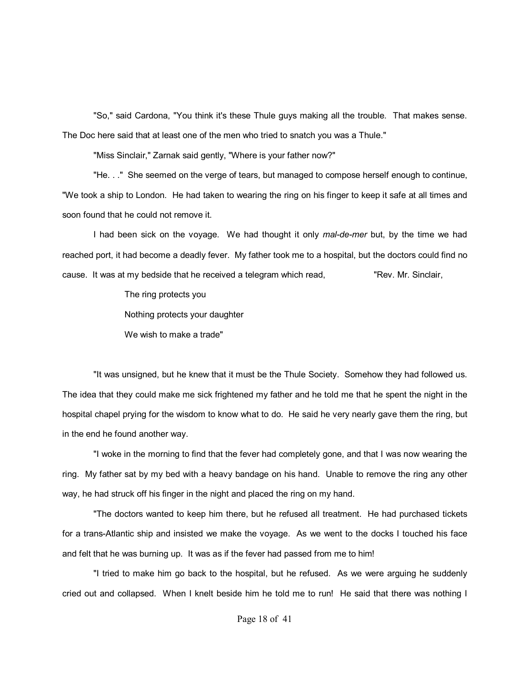"So," said Cardona, "You think it's these Thule guys making all the trouble. That makes sense. The Doc here said that at least one of the men who tried to snatch you was a Thule."

"Miss Sinclair," Zarnak said gently, "Where is your father now?"

"He. . ." She seemed on the verge of tears, but managed to compose herself enough to continue, "We took a ship to London. He had taken to wearing the ring on his finger to keep it safe at all times and soon found that he could not remove it.

I had been sick on the voyage. We had thought it only *mal-de-mer* but, by the time we had reached port, it had become a deadly fever. My father took me to a hospital, but the doctors could find no cause. It was at my bedside that he received a telegram which read, The W. Sinclair,

The ring protects you

Nothing protects your daughter

We wish to make a trade"

"It was unsigned, but he knew that it must be the Thule Society. Somehow they had followed us. The idea that they could make me sick frightened my father and he told me that he spent the night in the hospital chapel prying for the wisdom to know what to do. He said he very nearly gave them the ring, but in the end he found another way.

"I woke in the morning to find that the fever had completely gone, and that I was now wearing the ring. My father sat by my bed with a heavy bandage on his hand. Unable to remove the ring any other way, he had struck off his finger in the night and placed the ring on my hand.

"The doctors wanted to keep him there, but he refused all treatment. He had purchased tickets for a trans-Atlantic ship and insisted we make the voyage. As we went to the docks I touched his face and felt that he was burning up. It was as if the fever had passed from me to him!

"I tried to make him go back to the hospital, but he refused. As we were arguing he suddenly cried out and collapsed. When I knelt beside him he told me to run! He said that there was nothing I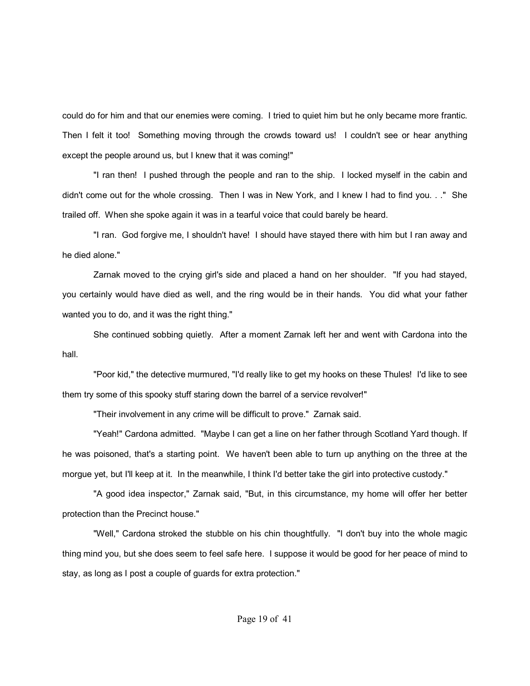could do for him and that our enemies were coming. I tried to quiet him but he only became more frantic. Then I felt it too! Something moving through the crowds toward us! I couldn't see or hear anything except the people around us, but I knew that it was coming!"

"I ran then! I pushed through the people and ran to the ship. I locked myself in the cabin and didn't come out for the whole crossing. Then I was in New York, and I knew I had to find you. . ." She trailed off. When she spoke again it was in a tearful voice that could barely be heard.

"I ran. God forgive me, I shouldn't have! I should have stayed there with him but I ran away and he died alone."

Zarnak moved to the crying girl's side and placed a hand on her shoulder. "If you had stayed, you certainly would have died as well, and the ring would be in their hands. You did what your father wanted you to do, and it was the right thing."

She continued sobbing quietly. After a moment Zarnak left her and went with Cardona into the hall.

"Poor kid," the detective murmured, "I'd really like to get my hooks on these Thules! I'd like to see them try some of this spooky stuff staring down the barrel of a service revolver!"

"Their involvement in any crime will be difficult to prove." Zarnak said.

"Yeah!" Cardona admitted. "Maybe I can get a line on her father through Scotland Yard though. If he was poisoned, that's a starting point. We haven't been able to turn up anything on the three at the morgue yet, but I'll keep at it. In the meanwhile, I think I'd better take the girl into protective custody."

"A good idea inspector," Zarnak said, "But, in this circumstance, my home will offer her better protection than the Precinct house."

"Well," Cardona stroked the stubble on his chin thoughtfully. "I don't buy into the whole magic thing mind you, but she does seem to feel safe here. I suppose it would be good for her peace of mind to stay, as long as I post a couple of guards for extra protection."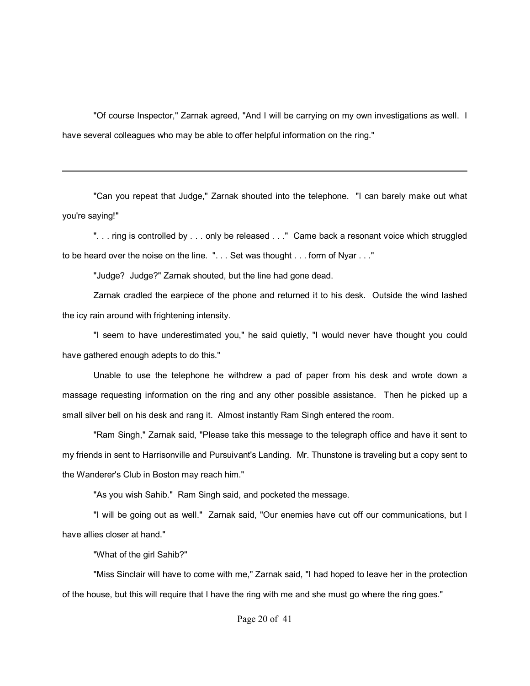"Of course Inspector," Zarnak agreed, "And I will be carrying on my own investigations as well. I have several colleagues who may be able to offer helpful information on the ring."

"Can you repeat that Judge," Zarnak shouted into the telephone. "I can barely make out what you're saying!"

"... ring is controlled by ... only be released ..." Came back a resonant voice which struggled to be heard over the noise on the line. ". . . Set was thought . . . form of Nyar . . ."

"Judge? Judge?" Zarnak shouted, but the line had gone dead.

Zarnak cradled the earpiece of the phone and returned it to his desk. Outside the wind lashed the icy rain around with frightening intensity.

"I seem to have underestimated you," he said quietly, "I would never have thought you could have gathered enough adepts to do this."

Unable to use the telephone he withdrew a pad of paper from his desk and wrote down a massage requesting information on the ring and any other possible assistance. Then he picked up a small silver bell on his desk and rang it. Almost instantly Ram Singh entered the room.

"Ram Singh," Zarnak said, "Please take this message to the telegraph office and have it sent to my friends in sent to Harrisonville and Pursuivant's Landing. Mr. Thunstone is traveling but a copy sent to the Wanderer's Club in Boston may reach him."

"As you wish Sahib." Ram Singh said, and pocketed the message.

"I will be going out as well." Zarnak said, "Our enemies have cut off our communications, but I have allies closer at hand."

"What of the girl Sahib?"

"Miss Sinclair will have to come with me," Zarnak said, "I had hoped to leave her in the protection of the house, but this will require that I have the ring with me and she must go where the ring goes."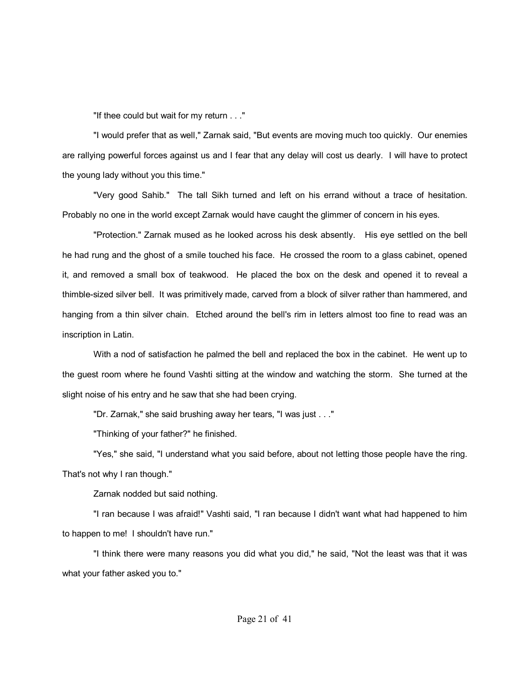"If thee could but wait for my return . . ."

"I would prefer that as well," Zarnak said, "But events are moving much too quickly. Our enemies are rallying powerful forces against us and I fear that any delay will cost us dearly. I will have to protect the young lady without you this time."

"Very good Sahib." The tall Sikh turned and left on his errand without a trace of hesitation. Probably no one in the world except Zarnak would have caught the glimmer of concern in his eyes.

"Protection." Zarnak mused as he looked across his desk absently. His eye settled on the bell he had rung and the ghost of a smile touched his face. He crossed the room to a glass cabinet, opened it, and removed a small box of teakwood. He placed the box on the desk and opened it to reveal a thimble-sized silver bell. It was primitively made, carved from a block of silver rather than hammered, and hanging from a thin silver chain. Etched around the bell's rim in letters almost too fine to read was an inscription in Latin.

With a nod of satisfaction he palmed the bell and replaced the box in the cabinet. He went up to the guest room where he found Vashti sitting at the window and watching the storm. She turned at the slight noise of his entry and he saw that she had been crying.

"Dr. Zarnak," she said brushing away her tears, "I was just . . ."

"Thinking of your father?" he finished.

"Yes," she said, "I understand what you said before, about not letting those people have the ring. That's not why I ran though."

Zarnak nodded but said nothing.

"I ran because I was afraid!" Vashti said, "I ran because I didn't want what had happened to him to happen to me! I shouldn't have run."

"I think there were many reasons you did what you did," he said, "Not the least was that it was what your father asked you to."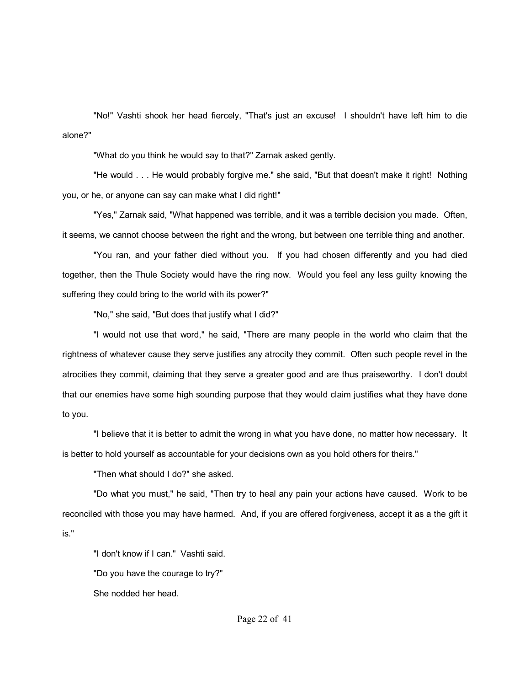"No!" Vashti shook her head fiercely, "That's just an excuse! I shouldn't have left him to die alone?"

"What do you think he would say to that?" Zarnak asked gently.

"He would . . . He would probably forgive me." she said, "But that doesn't make it right! Nothing you, or he, or anyone can say can make what I did right!"

"Yes," Zarnak said, "What happened was terrible, and it was a terrible decision you made. Often, it seems, we cannot choose between the right and the wrong, but between one terrible thing and another.

"You ran, and your father died without you. If you had chosen differently and you had died together, then the Thule Society would have the ring now. Would you feel any less guilty knowing the suffering they could bring to the world with its power?"

"No," she said, "But does that justify what I did?"

"I would not use that word," he said, "There are many people in the world who claim that the rightness of whatever cause they serve justifies any atrocity they commit. Often such people revel in the atrocities they commit, claiming that they serve a greater good and are thus praiseworthy. I don't doubt that our enemies have some high sounding purpose that they would claim justifies what they have done to you.

"I believe that it is better to admit the wrong in what you have done, no matter how necessary. It is better to hold yourself as accountable for your decisions own as you hold others for theirs."

"Then what should I do?" she asked.

"Do what you must," he said, "Then try to heal any pain your actions have caused. Work to be reconciled with those you may have harmed. And, if you are offered forgiveness, accept it as a the gift it is."

"I don't know if I can." Vashti said. "Do you have the courage to try?" She nodded her head.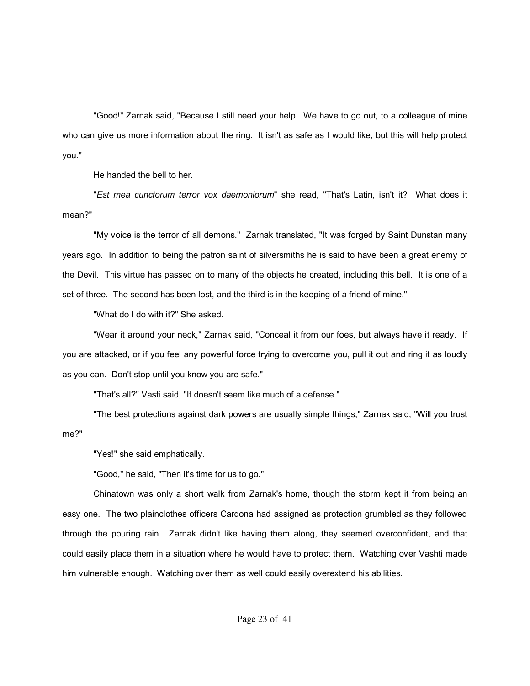"Good!" Zarnak said, "Because I still need your help. We have to go out, to a colleague of mine who can give us more information about the ring. It isn't as safe as I would like, but this will help protect you."

He handed the bell to her.

"*Est mea cunctorum terror vox daemoniorum*" she read, "That's Latin, isn't it? What does it mean?"

"My voice is the terror of all demons." Zarnak translated, "It was forged by Saint Dunstan many years ago. In addition to being the patron saint of silversmiths he is said to have been a great enemy of the Devil. This virtue has passed on to many of the objects he created, including this bell. It is one of a set of three. The second has been lost, and the third is in the keeping of a friend of mine."

"What do I do with it?" She asked.

"Wear it around your neck," Zarnak said, "Conceal it from our foes, but always have it ready. If you are attacked, or if you feel any powerful force trying to overcome you, pull it out and ring it as loudly as you can. Don't stop until you know you are safe."

"That's all?" Vasti said, "It doesn't seem like much of a defense."

"The best protections against dark powers are usually simple things," Zarnak said, "Will you trust me?"

"Yes!" she said emphatically.

"Good," he said, "Then it's time for us to go."

Chinatown was only a short walk from Zarnak's home, though the storm kept it from being an easy one. The two plainclothes officers Cardona had assigned as protection grumbled as they followed through the pouring rain. Zarnak didn't like having them along, they seemed overconfident, and that could easily place them in a situation where he would have to protect them. Watching over Vashti made him vulnerable enough. Watching over them as well could easily overextend his abilities.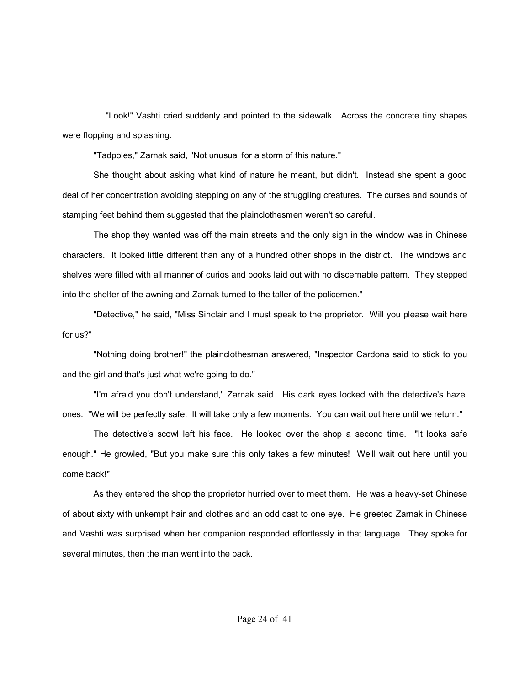"Look!" Vashti cried suddenly and pointed to the sidewalk. Across the concrete tiny shapes were flopping and splashing.

"Tadpoles," Zarnak said, "Not unusual for a storm of this nature."

She thought about asking what kind of nature he meant, but didn't. Instead she spent a good deal of her concentration avoiding stepping on any of the struggling creatures. The curses and sounds of stamping feet behind them suggested that the plainclothesmen weren't so careful.

The shop they wanted was off the main streets and the only sign in the window was in Chinese characters. It looked little different than any of a hundred other shops in the district. The windows and shelves were filled with all manner of curios and books laid out with no discernable pattern. They stepped into the shelter of the awning and Zarnak turned to the taller of the policemen."

"Detective," he said, "Miss Sinclair and I must speak to the proprietor. Will you please wait here for us?"

"Nothing doing brother!" the plainclothesman answered, "Inspector Cardona said to stick to you and the girl and that's just what we're going to do."

"I'm afraid you don't understand," Zarnak said. His dark eyes locked with the detective's hazel ones. "We will be perfectly safe. It will take only a few moments. You can wait out here until we return."

The detective's scowl left his face. He looked over the shop a second time. "It looks safe enough." He growled, "But you make sure this only takes a few minutes! We'll wait out here until you come back!"

As they entered the shop the proprietor hurried over to meet them. He was a heavy-set Chinese of about sixty with unkempt hair and clothes and an odd cast to one eye. He greeted Zarnak in Chinese and Vashti was surprised when her companion responded effortlessly in that language. They spoke for several minutes, then the man went into the back.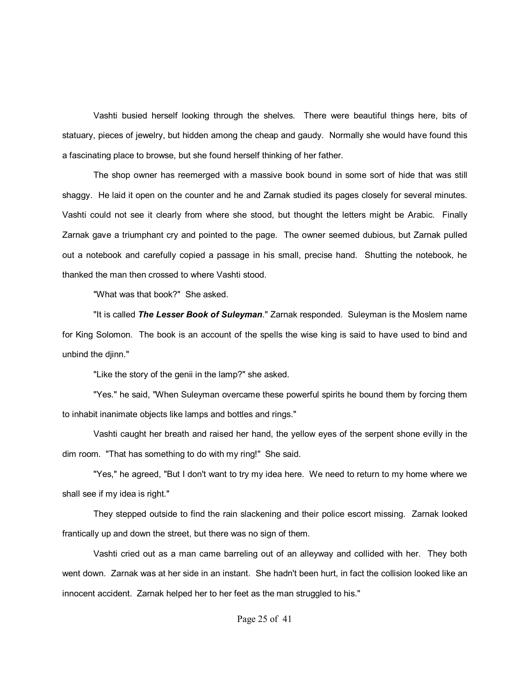Vashti busied herself looking through the shelves. There were beautiful things here, bits of statuary, pieces of jewelry, but hidden among the cheap and gaudy. Normally she would have found this a fascinating place to browse, but she found herself thinking of her father.

The shop owner has reemerged with a massive book bound in some sort of hide that was still shaggy. He laid it open on the counter and he and Zarnak studied its pages closely for several minutes. Vashti could not see it clearly from where she stood, but thought the letters might be Arabic. Finally Zarnak gave a triumphant cry and pointed to the page. The owner seemed dubious, but Zarnak pulled out a notebook and carefully copied a passage in his small, precise hand. Shutting the notebook, he thanked the man then crossed to where Vashti stood.

"What was that book?" She asked.

"It is called *The Lesser Book of Suleyman*." Zarnak responded. Suleyman is the Moslem name for King Solomon. The book is an account of the spells the wise king is said to have used to bind and unbind the djinn."

"Like the story of the genii in the lamp?" she asked.

"Yes." he said, "When Suleyman overcame these powerful spirits he bound them by forcing them to inhabit inanimate objects like lamps and bottles and rings."

Vashti caught her breath and raised her hand, the yellow eyes of the serpent shone evilly in the dim room. "That has something to do with my ring!" She said.

"Yes," he agreed, "But I don't want to try my idea here. We need to return to my home where we shall see if my idea is right."

They stepped outside to find the rain slackening and their police escort missing. Zarnak looked frantically up and down the street, but there was no sign of them.

Vashti cried out as a man came barreling out of an alleyway and collided with her. They both went down. Zarnak was at her side in an instant. She hadn't been hurt, in fact the collision looked like an innocent accident. Zarnak helped her to her feet as the man struggled to his."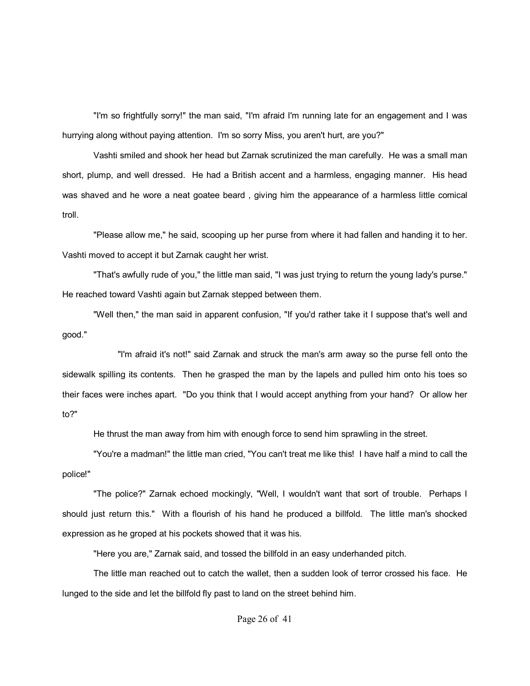"I'm so frightfully sorry!" the man said, "I'm afraid I'm running late for an engagement and I was hurrying along without paying attention. I'm so sorry Miss, you aren't hurt, are you?"

Vashti smiled and shook her head but Zarnak scrutinized the man carefully. He was a small man short, plump, and well dressed. He had a British accent and a harmless, engaging manner. His head was shaved and he wore a neat goatee beard , giving him the appearance of a harmless little comical troll.

"Please allow me," he said, scooping up her purse from where it had fallen and handing it to her. Vashti moved to accept it but Zarnak caught her wrist.

"That's awfully rude of you," the little man said, "I was just trying to return the young lady's purse." He reached toward Vashti again but Zarnak stepped between them.

"Well then," the man said in apparent confusion, "If you'd rather take it I suppose that's well and good."

 "I'm afraid it's not!" said Zarnak and struck the man's arm away so the purse fell onto the sidewalk spilling its contents. Then he grasped the man by the lapels and pulled him onto his toes so their faces were inches apart. "Do you think that I would accept anything from your hand? Or allow her to?"

He thrust the man away from him with enough force to send him sprawling in the street.

"You're a madman!" the little man cried, "You can't treat me like this! I have half a mind to call the police!"

"The police?" Zarnak echoed mockingly, "Well, I wouldn't want that sort of trouble. Perhaps I should just return this." With a flourish of his hand he produced a billfold. The little man's shocked expression as he groped at his pockets showed that it was his.

"Here you are," Zarnak said, and tossed the billfold in an easy underhanded pitch.

The little man reached out to catch the wallet, then a sudden look of terror crossed his face. He lunged to the side and let the billfold fly past to land on the street behind him.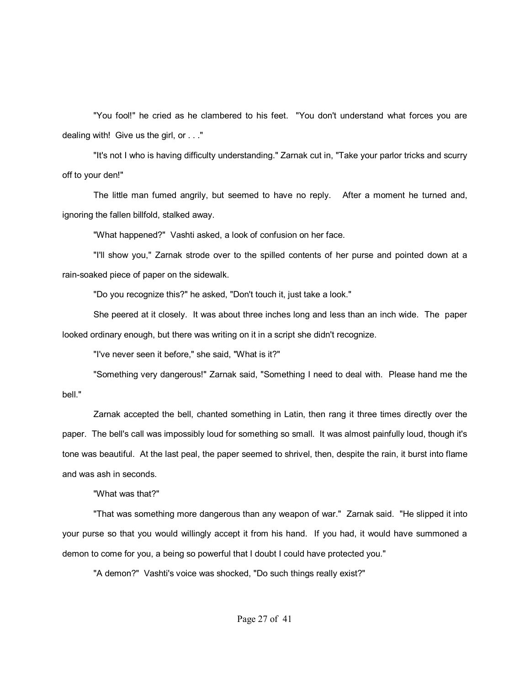"You fool!" he cried as he clambered to his feet. "You don't understand what forces you are dealing with! Give us the girl, or . . ."

"It's not I who is having difficulty understanding." Zarnak cut in, "Take your parlor tricks and scurry off to your den!"

The little man fumed angrily, but seemed to have no reply. After a moment he turned and, ignoring the fallen billfold, stalked away.

"What happened?" Vashti asked, a look of confusion on her face.

"I'll show you," Zarnak strode over to the spilled contents of her purse and pointed down at a rain-soaked piece of paper on the sidewalk.

"Do you recognize this?" he asked, "Don't touch it, just take a look."

She peered at it closely. It was about three inches long and less than an inch wide. The paper looked ordinary enough, but there was writing on it in a script she didn't recognize.

"I've never seen it before," she said, "What is it?"

"Something very dangerous!" Zarnak said, "Something I need to deal with. Please hand me the bell."

Zarnak accepted the bell, chanted something in Latin, then rang it three times directly over the paper. The bell's call was impossibly loud for something so small. It was almost painfully loud, though it's tone was beautiful. At the last peal, the paper seemed to shrivel, then, despite the rain, it burst into flame and was ash in seconds.

"What was that?"

"That was something more dangerous than any weapon of war." Zarnak said. "He slipped it into your purse so that you would willingly accept it from his hand. If you had, it would have summoned a demon to come for you, a being so powerful that I doubt I could have protected you."

"A demon?" Vashti's voice was shocked, "Do such things really exist?"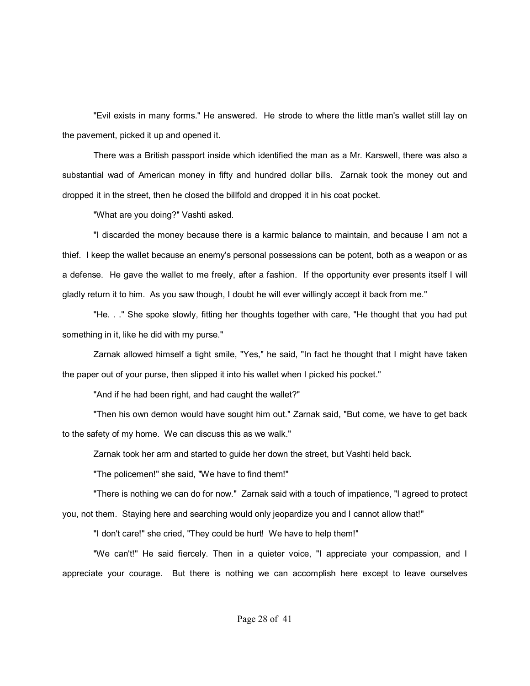"Evil exists in many forms." He answered. He strode to where the little man's wallet still lay on the pavement, picked it up and opened it.

There was a British passport inside which identified the man as a Mr. Karswell, there was also a substantial wad of American money in fifty and hundred dollar bills. Zarnak took the money out and dropped it in the street, then he closed the billfold and dropped it in his coat pocket.

"What are you doing?" Vashti asked.

"I discarded the money because there is a karmic balance to maintain, and because I am not a thief. I keep the wallet because an enemy's personal possessions can be potent, both as a weapon or as a defense. He gave the wallet to me freely, after a fashion. If the opportunity ever presents itself I will gladly return it to him. As you saw though, I doubt he will ever willingly accept it back from me."

"He. . ." She spoke slowly, fitting her thoughts together with care, "He thought that you had put something in it, like he did with my purse."

Zarnak allowed himself a tight smile, "Yes," he said, "In fact he thought that I might have taken the paper out of your purse, then slipped it into his wallet when I picked his pocket."

"And if he had been right, and had caught the wallet?"

"Then his own demon would have sought him out." Zarnak said, "But come, we have to get back to the safety of my home. We can discuss this as we walk."

Zarnak took her arm and started to guide her down the street, but Vashti held back.

"The policemen!" she said, "We have to find them!"

"There is nothing we can do for now." Zarnak said with a touch of impatience, "I agreed to protect you, not them. Staying here and searching would only jeopardize you and I cannot allow that!"

"I don't care!" she cried, "They could be hurt! We have to help them!"

"We can't!" He said fiercely. Then in a quieter voice, "I appreciate your compassion, and I appreciate your courage. But there is nothing we can accomplish here except to leave ourselves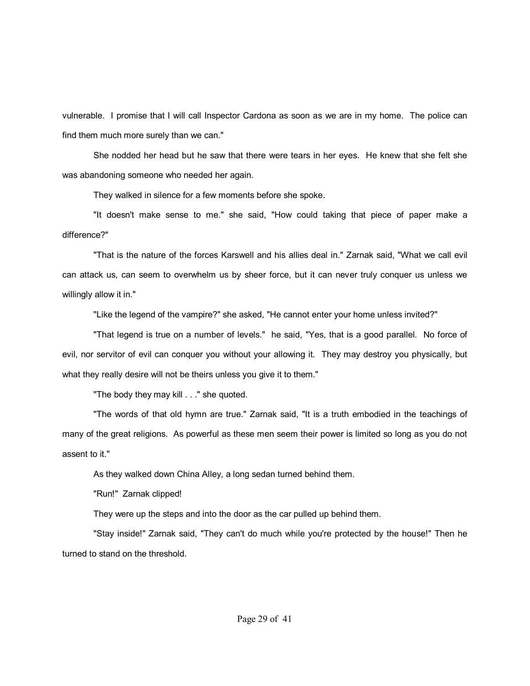vulnerable. I promise that I will call Inspector Cardona as soon as we are in my home. The police can find them much more surely than we can."

She nodded her head but he saw that there were tears in her eyes. He knew that she felt she was abandoning someone who needed her again.

They walked in silence for a few moments before she spoke.

"It doesn't make sense to me." she said, "How could taking that piece of paper make a difference?"

"That is the nature of the forces Karswell and his allies deal in." Zarnak said, "What we call evil can attack us, can seem to overwhelm us by sheer force, but it can never truly conquer us unless we willingly allow it in."

"Like the legend of the vampire?" she asked, "He cannot enter your home unless invited?"

"That legend is true on a number of levels." he said, "Yes, that is a good parallel. No force of evil, nor servitor of evil can conquer you without your allowing it. They may destroy you physically, but what they really desire will not be theirs unless you give it to them."

"The body they may kill . . ." she quoted.

"The words of that old hymn are true." Zarnak said, "It is a truth embodied in the teachings of many of the great religions. As powerful as these men seem their power is limited so long as you do not assent to it."

As they walked down China Alley, a long sedan turned behind them.

"Run!" Zarnak clipped!

They were up the steps and into the door as the car pulled up behind them.

"Stay inside!" Zarnak said, "They can't do much while you're protected by the house!" Then he turned to stand on the threshold.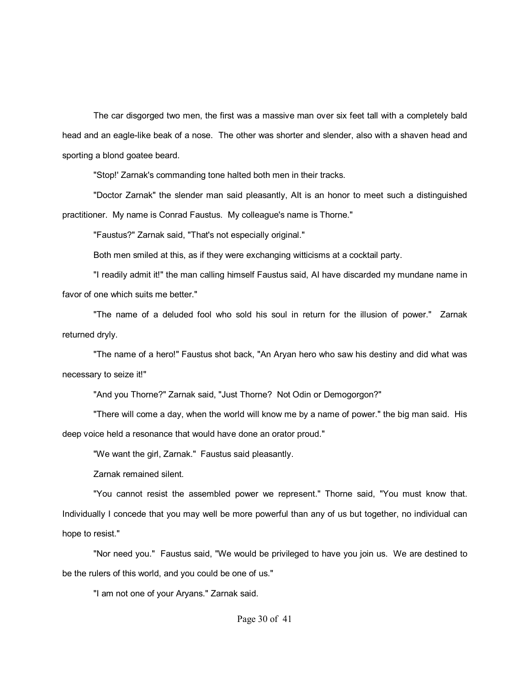The car disgorged two men, the first was a massive man over six feet tall with a completely bald head and an eagle-like beak of a nose. The other was shorter and slender, also with a shaven head and sporting a blond goatee beard.

"Stop!' Zarnak's commanding tone halted both men in their tracks.

"Doctor Zarnak" the slender man said pleasantly, AIt is an honor to meet such a distinguished practitioner. My name is Conrad Faustus. My colleague's name is Thorne."

"Faustus?" Zarnak said, "That's not especially original."

Both men smiled at this, as if they were exchanging witticisms at a cocktail party.

"I readily admit it!" the man calling himself Faustus said, AI have discarded my mundane name in favor of one which suits me better."

"The name of a deluded fool who sold his soul in return for the illusion of power." Zarnak returned dryly.

"The name of a hero!" Faustus shot back, "An Aryan hero who saw his destiny and did what was necessary to seize it!"

"And you Thorne?" Zarnak said, "Just Thorne? Not Odin or Demogorgon?"

"There will come a day, when the world will know me by a name of power." the big man said. His deep voice held a resonance that would have done an orator proud."

"We want the girl, Zarnak." Faustus said pleasantly.

Zarnak remained silent.

"You cannot resist the assembled power we represent." Thorne said, "You must know that. Individually I concede that you may well be more powerful than any of us but together, no individual can hope to resist."

"Nor need you." Faustus said, "We would be privileged to have you join us. We are destined to be the rulers of this world, and you could be one of us."

"I am not one of your Aryans." Zarnak said.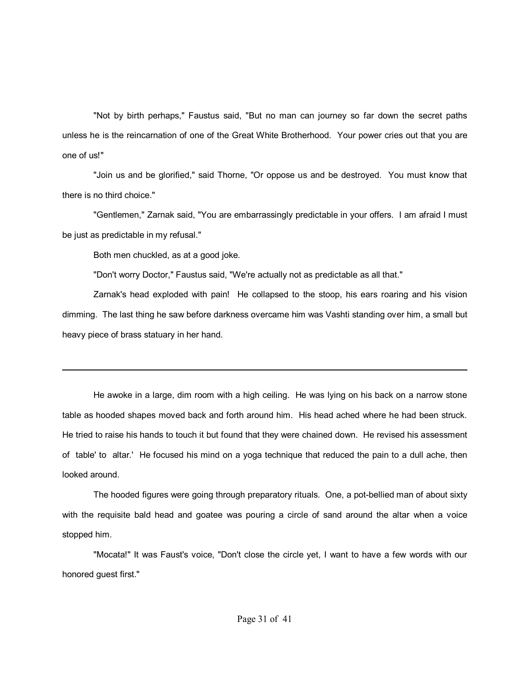"Not by birth perhaps," Faustus said, "But no man can journey so far down the secret paths unless he is the reincarnation of one of the Great White Brotherhood. Your power cries out that you are one of us!"

"Join us and be glorified," said Thorne, "Or oppose us and be destroyed. You must know that there is no third choice."

"Gentlemen," Zarnak said, "You are embarrassingly predictable in your offers. I am afraid I must be just as predictable in my refusal."

Both men chuckled, as at a good joke.

"Don't worry Doctor," Faustus said, "We're actually not as predictable as all that."

Zarnak's head exploded with pain! He collapsed to the stoop, his ears roaring and his vision dimming. The last thing he saw before darkness overcame him was Vashti standing over him, a small but heavy piece of brass statuary in her hand.

He awoke in a large, dim room with a high ceiling. He was lying on his back on a narrow stone table as hooded shapes moved back and forth around him. His head ached where he had been struck. He tried to raise his hands to touch it but found that they were chained down. He revised his assessment of table' to altar.' He focused his mind on a yoga technique that reduced the pain to a dull ache, then looked around.

The hooded figures were going through preparatory rituals. One, a pot-bellied man of about sixty with the requisite bald head and goatee was pouring a circle of sand around the altar when a voice stopped him.

"Mocata!" It was Faust's voice, "Don't close the circle yet, I want to have a few words with our honored guest first."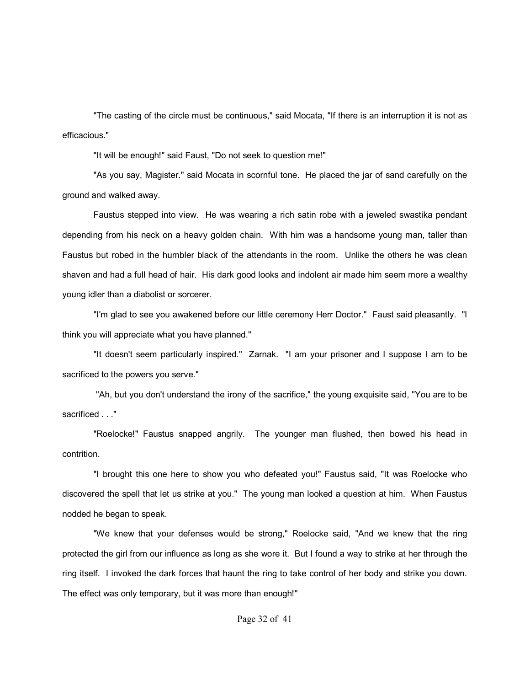"The casting of the circle must be continuous," said Mocata, "If there is an interruption it is not as efficacious."

"It will be enough!" said Faust, "Do not seek to question me!"

"As you say, Magister." said Mocata in scornful tone. He placed the jar of sand carefully on the ground and walked away.

Faustus stepped into view. He was wearing a rich satin robe with a jeweled swastika pendant depending from his neck on a heavy golden chain. With him was a handsome young man, taller than Faustus but robed in the humbler black of the attendants in the room. Unlike the others he was clean shaven and had a full head of hair. His dark good looks and indolent air made him seem more a wealthy young idler than a diabolist or sorcerer.

"I'm glad to see you awakened before our little ceremony Herr Doctor." Faust said pleasantly. "I think you will appreciate what you have planned."

"It doesn't seem particularly inspired." Zarnak. "I am your prisoner and I suppose I am to be sacrificed to the powers you serve."

 "Ah, but you don't understand the irony of the sacrifice," the young exquisite said, "You are to be sacrificed . . ."

"Roelocke!" Faustus snapped angrily. The younger man flushed, then bowed his head in contrition.

"I brought this one here to show you who defeated you!" Faustus said, "It was Roelocke who discovered the spell that let us strike at you." The young man looked a question at him. When Faustus nodded he began to speak.

"We knew that your defenses would be strong," Roelocke said, "And we knew that the ring protected the girl from our influence as long as she wore it. But I found a way to strike at her through the ring itself. I invoked the dark forces that haunt the ring to take control of her body and strike you down. The effect was only temporary, but it was more than enough!"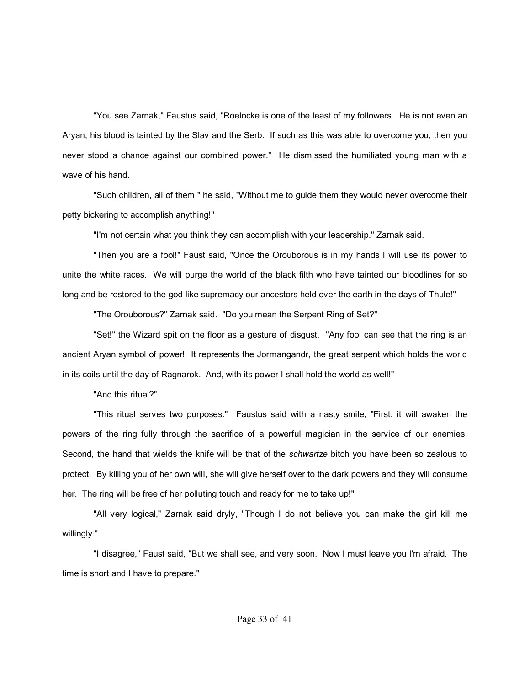"You see Zarnak," Faustus said, "Roelocke is one of the least of my followers. He is not even an Aryan, his blood is tainted by the Slav and the Serb. If such as this was able to overcome you, then you never stood a chance against our combined power." He dismissed the humiliated young man with a wave of his hand.

"Such children, all of them." he said, "Without me to guide them they would never overcome their petty bickering to accomplish anything!"

"I'm not certain what you think they can accomplish with your leadership." Zarnak said.

"Then you are a fool!" Faust said, "Once the Orouborous is in my hands I will use its power to unite the white races. We will purge the world of the black filth who have tainted our bloodlines for so long and be restored to the god-like supremacy our ancestors held over the earth in the days of Thule!"

"The Orouborous?" Zarnak said. "Do you mean the Serpent Ring of Set?"

"Set!" the Wizard spit on the floor as a gesture of disgust. "Any fool can see that the ring is an ancient Aryan symbol of power! It represents the Jormangandr, the great serpent which holds the world in its coils until the day of Ragnarok. And, with its power I shall hold the world as well!"

"And this ritual?"

"This ritual serves two purposes." Faustus said with a nasty smile, "First, it will awaken the powers of the ring fully through the sacrifice of a powerful magician in the service of our enemies. Second, the hand that wields the knife will be that of the *schwartze* bitch you have been so zealous to protect. By killing you of her own will, she will give herself over to the dark powers and they will consume her. The ring will be free of her polluting touch and ready for me to take up!"

"All very logical," Zarnak said dryly, "Though I do not believe you can make the girl kill me willingly."

"I disagree," Faust said, "But we shall see, and very soon. Now I must leave you I'm afraid. The time is short and I have to prepare."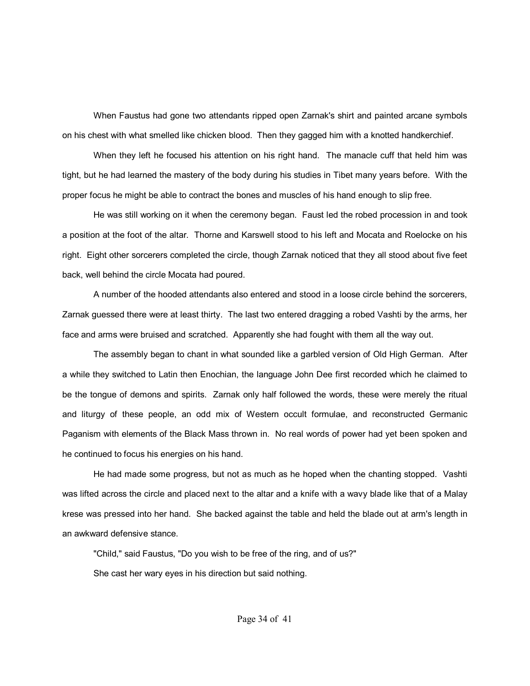When Faustus had gone two attendants ripped open Zarnak's shirt and painted arcane symbols on his chest with what smelled like chicken blood. Then they gagged him with a knotted handkerchief.

When they left he focused his attention on his right hand. The manacle cuff that held him was tight, but he had learned the mastery of the body during his studies in Tibet many years before. With the proper focus he might be able to contract the bones and muscles of his hand enough to slip free.

He was still working on it when the ceremony began. Faust led the robed procession in and took a position at the foot of the altar. Thorne and Karswell stood to his left and Mocata and Roelocke on his right. Eight other sorcerers completed the circle, though Zarnak noticed that they all stood about five feet back, well behind the circle Mocata had poured.

A number of the hooded attendants also entered and stood in a loose circle behind the sorcerers, Zarnak guessed there were at least thirty. The last two entered dragging a robed Vashti by the arms, her face and arms were bruised and scratched. Apparently she had fought with them all the way out.

The assembly began to chant in what sounded like a garbled version of Old High German. After a while they switched to Latin then Enochian, the language John Dee first recorded which he claimed to be the tongue of demons and spirits. Zarnak only half followed the words, these were merely the ritual and liturgy of these people, an odd mix of Western occult formulae, and reconstructed Germanic Paganism with elements of the Black Mass thrown in. No real words of power had yet been spoken and he continued to focus his energies on his hand.

He had made some progress, but not as much as he hoped when the chanting stopped. Vashti was lifted across the circle and placed next to the altar and a knife with a wavy blade like that of a Malay krese was pressed into her hand. She backed against the table and held the blade out at arm's length in an awkward defensive stance.

"Child," said Faustus, "Do you wish to be free of the ring, and of us?"

She cast her wary eyes in his direction but said nothing.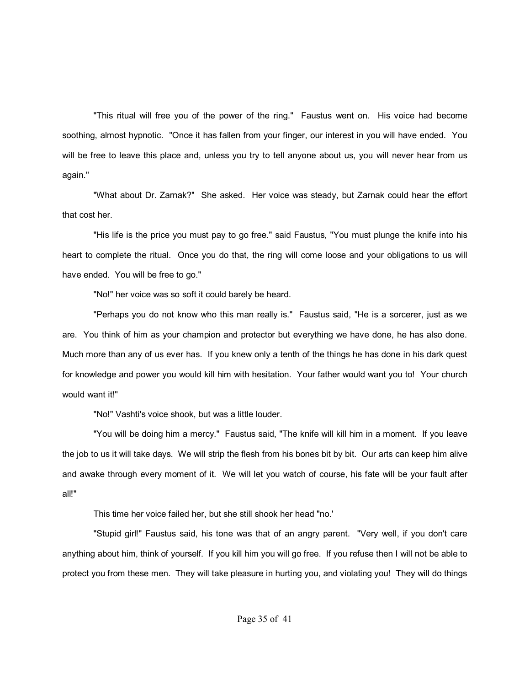"This ritual will free you of the power of the ring." Faustus went on. His voice had become soothing, almost hypnotic. "Once it has fallen from your finger, our interest in you will have ended. You will be free to leave this place and, unless you try to tell anyone about us, you will never hear from us again."

"What about Dr. Zarnak?" She asked. Her voice was steady, but Zarnak could hear the effort that cost her.

"His life is the price you must pay to go free." said Faustus, "You must plunge the knife into his heart to complete the ritual. Once you do that, the ring will come loose and your obligations to us will have ended. You will be free to go."

"No!" her voice was so soft it could barely be heard.

"Perhaps you do not know who this man really is." Faustus said, "He is a sorcerer, just as we are. You think of him as your champion and protector but everything we have done, he has also done. Much more than any of us ever has. If you knew only a tenth of the things he has done in his dark quest for knowledge and power you would kill him with hesitation. Your father would want you to! Your church would want it!"

"No!" Vashti's voice shook, but was a little louder.

"You will be doing him a mercy." Faustus said, "The knife will kill him in a moment. If you leave the job to us it will take days. We will strip the flesh from his bones bit by bit. Our arts can keep him alive and awake through every moment of it. We will let you watch of course, his fate will be your fault after all!"

This time her voice failed her, but she still shook her head "no.'

"Stupid girl!" Faustus said, his tone was that of an angry parent. "Very well, if you don't care anything about him, think of yourself. If you kill him you will go free. If you refuse then I will not be able to protect you from these men. They will take pleasure in hurting you, and violating you! They will do things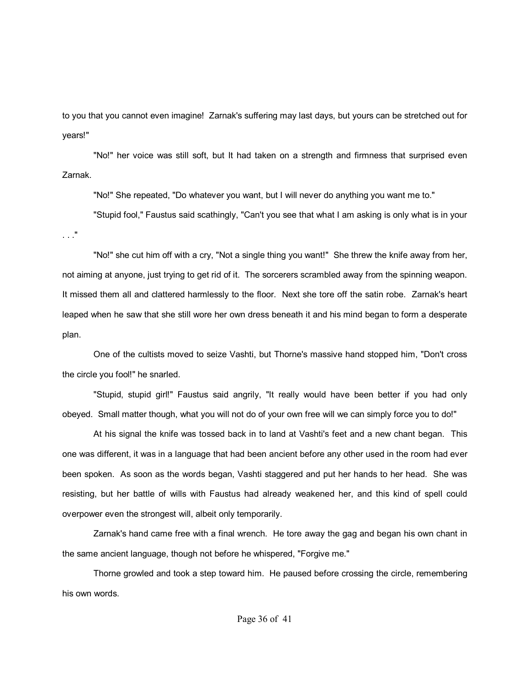to you that you cannot even imagine! Zarnak's suffering may last days, but yours can be stretched out for years!"

"No!" her voice was still soft, but It had taken on a strength and firmness that surprised even Zarnak.

"No!" She repeated, "Do whatever you want, but I will never do anything you want me to."

"Stupid fool," Faustus said scathingly, "Can't you see that what I am asking is only what is in your . . ."

"No!" she cut him off with a cry, "Not a single thing you want!" She threw the knife away from her, not aiming at anyone, just trying to get rid of it. The sorcerers scrambled away from the spinning weapon. It missed them all and clattered harmlessly to the floor. Next she tore off the satin robe. Zarnak's heart leaped when he saw that she still wore her own dress beneath it and his mind began to form a desperate plan.

One of the cultists moved to seize Vashti, but Thorne's massive hand stopped him, "Don't cross the circle you fool!" he snarled.

"Stupid, stupid girl!" Faustus said angrily, "It really would have been better if you had only obeyed. Small matter though, what you will not do of your own free will we can simply force you to do!"

At his signal the knife was tossed back in to land at Vashti's feet and a new chant began. This one was different, it was in a language that had been ancient before any other used in the room had ever been spoken. As soon as the words began, Vashti staggered and put her hands to her head. She was resisting, but her battle of wills with Faustus had already weakened her, and this kind of spell could overpower even the strongest will, albeit only temporarily.

Zarnak's hand came free with a final wrench. He tore away the gag and began his own chant in the same ancient language, though not before he whispered, "Forgive me."

Thorne growled and took a step toward him. He paused before crossing the circle, remembering his own words.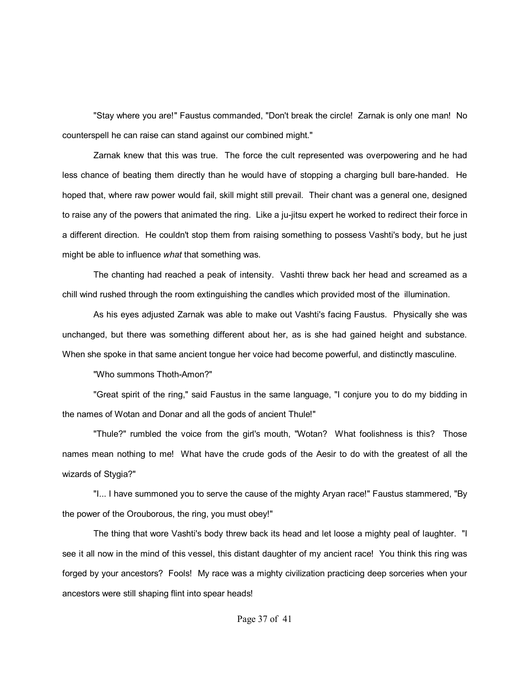"Stay where you are!" Faustus commanded, "Don't break the circle! Zarnak is only one man! No counterspell he can raise can stand against our combined might."

Zarnak knew that this was true. The force the cult represented was overpowering and he had less chance of beating them directly than he would have of stopping a charging bull bare-handed. He hoped that, where raw power would fail, skill might still prevail. Their chant was a general one, designed to raise any of the powers that animated the ring. Like a ju-jitsu expert he worked to redirect their force in a different direction. He couldn't stop them from raising something to possess Vashti's body, but he just might be able to influence *what* that something was.

The chanting had reached a peak of intensity. Vashti threw back her head and screamed as a chill wind rushed through the room extinguishing the candles which provided most of the illumination.

As his eyes adjusted Zarnak was able to make out Vashti's facing Faustus. Physically she was unchanged, but there was something different about her, as is she had gained height and substance. When she spoke in that same ancient tongue her voice had become powerful, and distinctly masculine.

"Who summons Thoth-Amon?"

"Great spirit of the ring," said Faustus in the same language, "I conjure you to do my bidding in the names of Wotan and Donar and all the gods of ancient Thule!"

"Thule?" rumbled the voice from the girl's mouth, "Wotan? What foolishness is this? Those names mean nothing to me! What have the crude gods of the Aesir to do with the greatest of all the wizards of Stygia?"

"I... I have summoned you to serve the cause of the mighty Aryan race!" Faustus stammered, "By the power of the Orouborous, the ring, you must obey!"

The thing that wore Vashti's body threw back its head and let loose a mighty peal of laughter. "I see it all now in the mind of this vessel, this distant daughter of my ancient race! You think this ring was forged by your ancestors? Fools! My race was a mighty civilization practicing deep sorceries when your ancestors were still shaping flint into spear heads!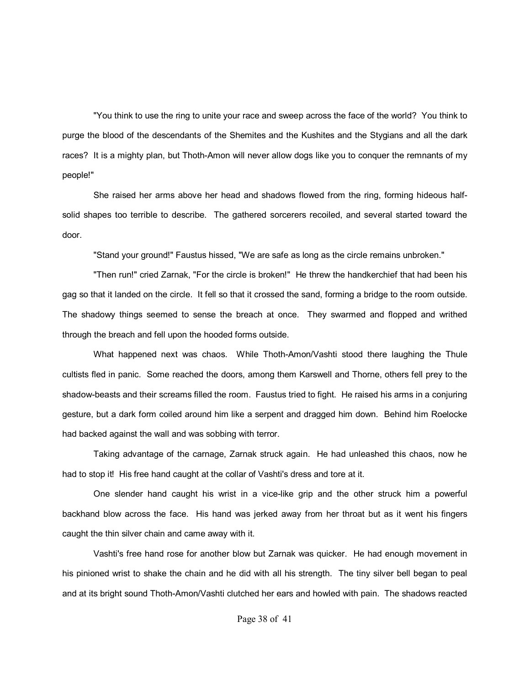"You think to use the ring to unite your race and sweep across the face of the world? You think to purge the blood of the descendants of the Shemites and the Kushites and the Stygians and all the dark races? It is a mighty plan, but Thoth-Amon will never allow dogs like you to conquer the remnants of my people!"

She raised her arms above her head and shadows flowed from the ring, forming hideous halfsolid shapes too terrible to describe. The gathered sorcerers recoiled, and several started toward the door.

"Stand your ground!" Faustus hissed, "We are safe as long as the circle remains unbroken."

"Then run!" cried Zarnak, "For the circle is broken!" He threw the handkerchief that had been his gag so that it landed on the circle. It fell so that it crossed the sand, forming a bridge to the room outside. The shadowy things seemed to sense the breach at once. They swarmed and flopped and writhed through the breach and fell upon the hooded forms outside.

What happened next was chaos. While Thoth-Amon/Vashti stood there laughing the Thule cultists fled in panic. Some reached the doors, among them Karswell and Thorne, others fell prey to the shadow-beasts and their screams filled the room. Faustus tried to fight. He raised his arms in a conjuring gesture, but a dark form coiled around him like a serpent and dragged him down. Behind him Roelocke had backed against the wall and was sobbing with terror.

Taking advantage of the carnage, Zarnak struck again. He had unleashed this chaos, now he had to stop it! His free hand caught at the collar of Vashti's dress and tore at it.

One slender hand caught his wrist in a vice-like grip and the other struck him a powerful backhand blow across the face. His hand was jerked away from her throat but as it went his fingers caught the thin silver chain and came away with it.

Vashti's free hand rose for another blow but Zarnak was quicker. He had enough movement in his pinioned wrist to shake the chain and he did with all his strength. The tiny silver bell began to peal and at its bright sound Thoth-Amon/Vashti clutched her ears and howled with pain. The shadows reacted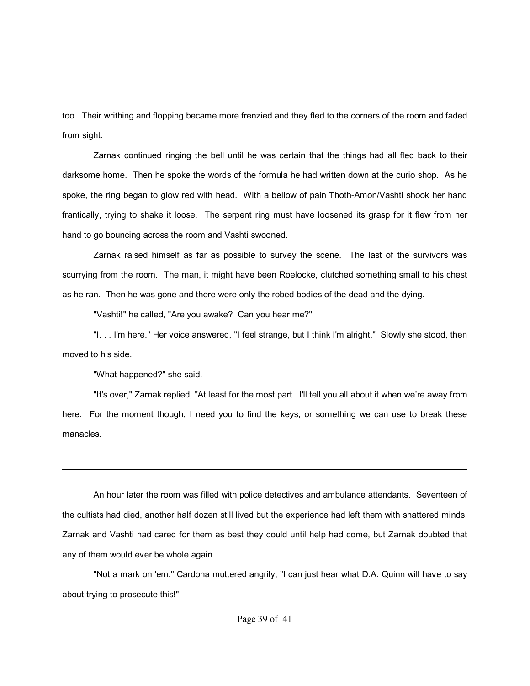too. Their writhing and flopping became more frenzied and they fled to the corners of the room and faded from sight.

Zarnak continued ringing the bell until he was certain that the things had all fled back to their darksome home. Then he spoke the words of the formula he had written down at the curio shop. As he spoke, the ring began to glow red with head. With a bellow of pain Thoth-Amon/Vashti shook her hand frantically, trying to shake it loose. The serpent ring must have loosened its grasp for it flew from her hand to go bouncing across the room and Vashti swooned.

Zarnak raised himself as far as possible to survey the scene. The last of the survivors was scurrying from the room. The man, it might have been Roelocke, clutched something small to his chest as he ran. Then he was gone and there were only the robed bodies of the dead and the dying.

"Vashti!" he called, "Are you awake? Can you hear me?"

"I. . . I'm here." Her voice answered, "I feel strange, but I think I'm alright." Slowly she stood, then moved to his side.

"What happened?" she said.

"It's over," Zarnak replied, "At least for the most part. I'll tell you all about it when weíre away from here. For the moment though, I need you to find the keys, or something we can use to break these manacles.

An hour later the room was filled with police detectives and ambulance attendants. Seventeen of the cultists had died, another half dozen still lived but the experience had left them with shattered minds. Zarnak and Vashti had cared for them as best they could until help had come, but Zarnak doubted that any of them would ever be whole again.

"Not a mark on 'em." Cardona muttered angrily, "I can just hear what D.A. Quinn will have to say about trying to prosecute this!"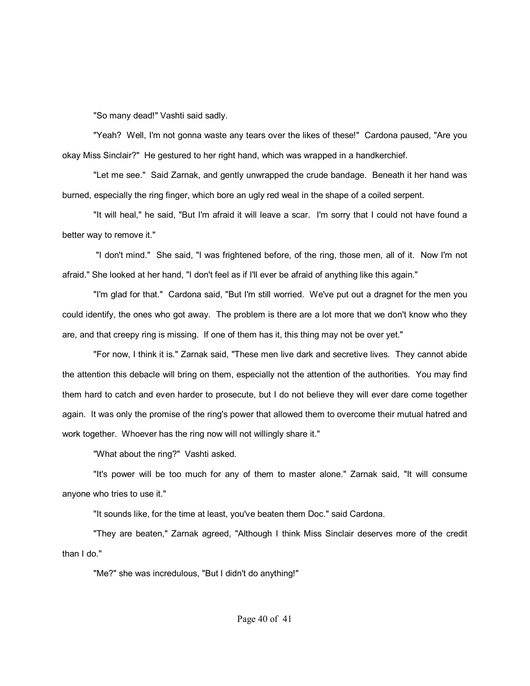"So many dead!" Vashti said sadly.

"Yeah? Well, I'm not gonna waste any tears over the likes of these!" Cardona paused, "Are you okay Miss Sinclair?" He gestured to her right hand, which was wrapped in a handkerchief.

"Let me see." Said Zarnak, and gently unwrapped the crude bandage. Beneath it her hand was burned, especially the ring finger, which bore an ugly red weal in the shape of a coiled serpent.

"It will heal," he said, "But I'm afraid it will leave a scar. I'm sorry that I could not have found a better way to remove it."

 "I don't mind." She said, "I was frightened before, of the ring, those men, all of it. Now I'm not afraid." She looked at her hand, "I don't feel as if I'll ever be afraid of anything like this again."

"I'm glad for that." Cardona said, "But I'm still worried. We've put out a dragnet for the men you could identify, the ones who got away. The problem is there are a lot more that we don't know who they are, and that creepy ring is missing. If one of them has it, this thing may not be over yet."

"For now, I think it is." Zarnak said, "These men live dark and secretive lives. They cannot abide the attention this debacle will bring on them, especially not the attention of the authorities. You may find them hard to catch and even harder to prosecute, but I do not believe they will ever dare come together again. It was only the promise of the ring's power that allowed them to overcome their mutual hatred and work together. Whoever has the ring now will not willingly share it."

"What about the ring?" Vashti asked.

"It's power will be too much for any of them to master alone." Zarnak said, "It will consume anyone who tries to use it."

"It sounds like, for the time at least, you've beaten them Doc." said Cardona.

"They are beaten," Zarnak agreed, "Although I think Miss Sinclair deserves more of the credit than I do."

"Me?" she was incredulous, "But I didn't do anything!"